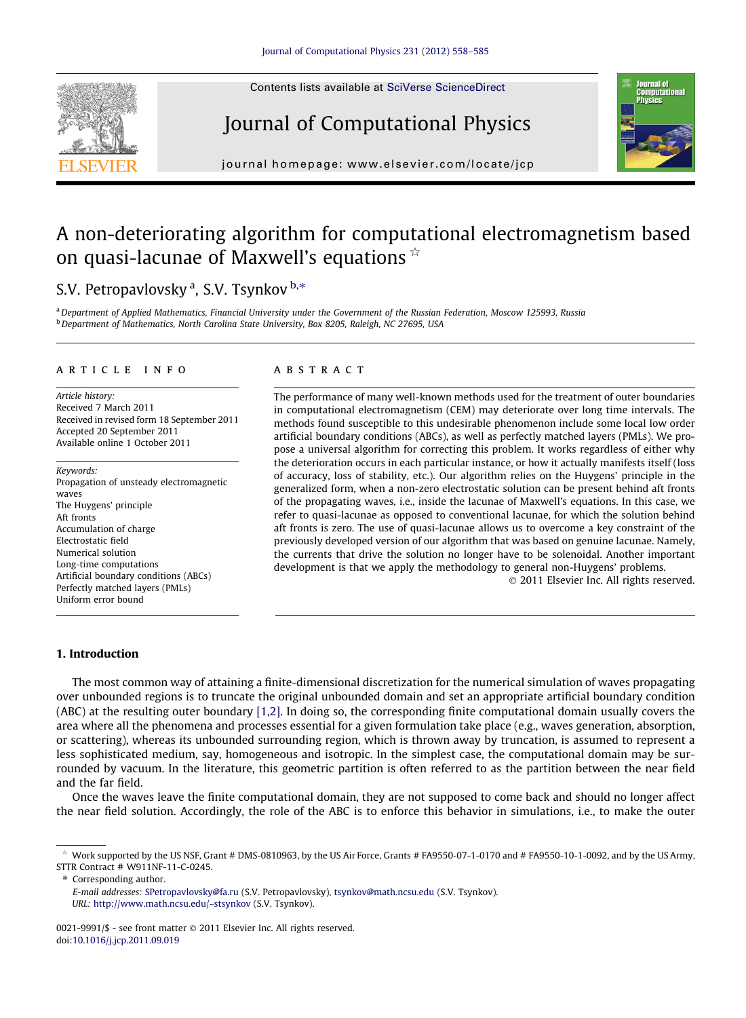Contents lists available at [SciVerse ScienceDirect](http://www.sciencedirect.com/science/journal/00219991)

# Journal of Computational Physics



journal homepage: [www.elsevier.com/locate/jcp](http://www.elsevier.com/locate/jcp)

## A non-deteriorating algorithm for computational electromagnetism based on quasi-lacunae of Maxwell's equations  $\dot{\mathbf{x}}$

## S.V. Petropavlovsky <sup>a</sup>, S.V. Tsynkov <sup>b,\*</sup>

 $a$  Department of Applied Mathematics, Financial University under the Government of the Russian Federation, Moscow 125993, Russia <sup>b</sup> Department of Mathematics, North Carolina State University, Box 8205, Raleigh, NC 27695, USA

## article info

Article history: Received 7 March 2011 Received in revised form 18 September 2011 Accepted 20 September 2011 Available online 1 October 2011

Keywords: Propagation of unsteady electromagnetic waves The Huygens' principle Aft fronts Accumulation of charge Electrostatic field Numerical solution Long-time computations Artificial boundary conditions (ABCs) Perfectly matched layers (PMLs) Uniform error bound

## **ABSTRACT**

The performance of many well-known methods used for the treatment of outer boundaries in computational electromagnetism (CEM) may deteriorate over long time intervals. The methods found susceptible to this undesirable phenomenon include some local low order artificial boundary conditions (ABCs), as well as perfectly matched layers (PMLs). We propose a universal algorithm for correcting this problem. It works regardless of either why the deterioration occurs in each particular instance, or how it actually manifests itself (loss of accuracy, loss of stability, etc.). Our algorithm relies on the Huygens' principle in the generalized form, when a non-zero electrostatic solution can be present behind aft fronts of the propagating waves, i.e., inside the lacunae of Maxwell's equations. In this case, we refer to quasi-lacunae as opposed to conventional lacunae, for which the solution behind aft fronts is zero. The use of quasi-lacunae allows us to overcome a key constraint of the previously developed version of our algorithm that was based on genuine lacunae. Namely, the currents that drive the solution no longer have to be solenoidal. Another important development is that we apply the methodology to general non-Huygens' problems.

- 2011 Elsevier Inc. All rights reserved.

## 1. Introduction

The most common way of attaining a finite-dimensional discretization for the numerical simulation of waves propagating over unbounded regions is to truncate the original unbounded domain and set an appropriate artificial boundary condition (ABC) at the resulting outer boundary [\[1,2\].](#page-25-0) In doing so, the corresponding finite computational domain usually covers the area where all the phenomena and processes essential for a given formulation take place (e.g., waves generation, absorption, or scattering), whereas its unbounded surrounding region, which is thrown away by truncation, is assumed to represent a less sophisticated medium, say, homogeneous and isotropic. In the simplest case, the computational domain may be surrounded by vacuum. In the literature, this geometric partition is often referred to as the partition between the near field and the far field.

Once the waves leave the finite computational domain, they are not supposed to come back and should no longer affect the near field solution. Accordingly, the role of the ABC is to enforce this behavior in simulations, i.e., to make the outer

⇑ Corresponding author.

 $*$  Work supported by the US NSF, Grant # DMS-0810963, by the US Air Force, Grants # FA9550-07-1-0170 and # FA9550-10-1-0092, and by the US Army, STTR Contract # W911NF-11-C-0245.

E-mail addresses: [SPetropavlovsky@fa.ru](mailto:SPetropavlovsky@fa.ru) (S.V. Petropavlovsky), [tsynkov@math.ncsu.edu](mailto:tsynkov@math.ncsu.edu) (S.V. Tsynkov). URL: <http://www.math.ncsu.edu/~stsynkov> (S.V. Tsynkov).

<sup>0021-9991/\$ -</sup> see front matter © 2011 Elsevier Inc. All rights reserved. doi[:10.1016/j.jcp.2011.09.019](http://dx.doi.org/10.1016/j.jcp.2011.09.019)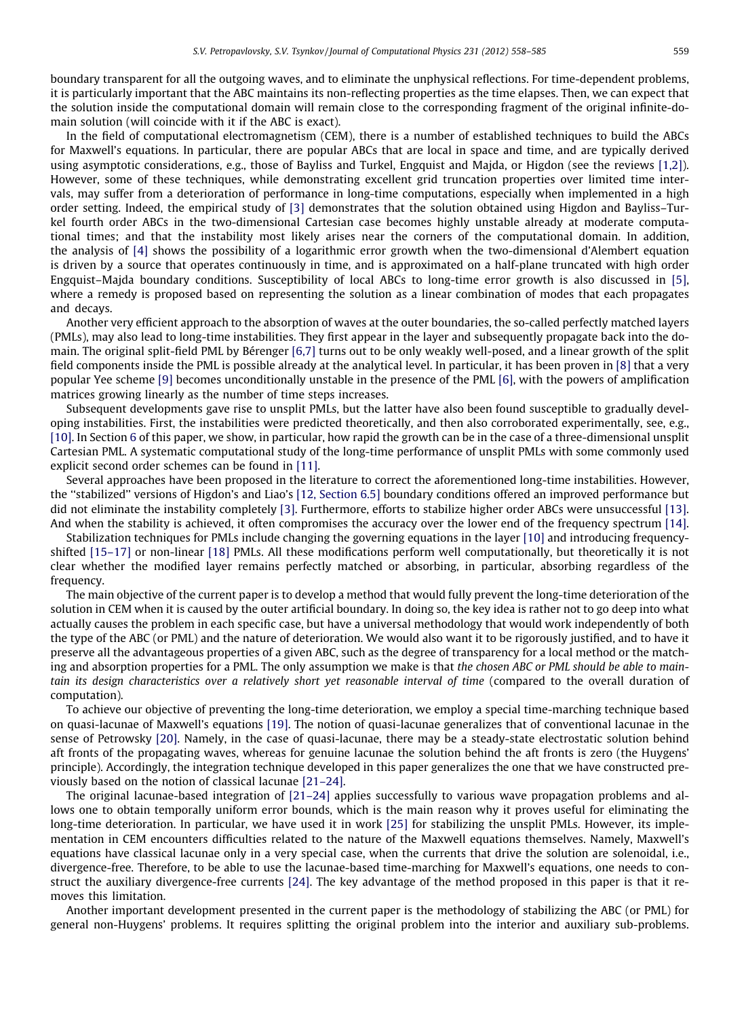boundary transparent for all the outgoing waves, and to eliminate the unphysical reflections. For time-dependent problems, it is particularly important that the ABC maintains its non-reflecting properties as the time elapses. Then, we can expect that the solution inside the computational domain will remain close to the corresponding fragment of the original infinite-domain solution (will coincide with it if the ABC is exact).

In the field of computational electromagnetism (CEM), there is a number of established techniques to build the ABCs for Maxwell's equations. In particular, there are popular ABCs that are local in space and time, and are typically derived using asymptotic considerations, e.g., those of Bayliss and Turkel, Engquist and Majda, or Higdon (see the reviews [\[1,2\]](#page-25-0)). However, some of these techniques, while demonstrating excellent grid truncation properties over limited time intervals, may suffer from a deterioration of performance in long-time computations, especially when implemented in a high order setting. Indeed, the empirical study of [\[3\]](#page-25-0) demonstrates that the solution obtained using Higdon and Bayliss–Turkel fourth order ABCs in the two-dimensional Cartesian case becomes highly unstable already at moderate computational times; and that the instability most likely arises near the corners of the computational domain. In addition, the analysis of [\[4\]](#page-25-0) shows the possibility of a logarithmic error growth when the two-dimensional d'Alembert equation is driven by a source that operates continuously in time, and is approximated on a half-plane truncated with high order Engquist–Majda boundary conditions. Susceptibility of local ABCs to long-time error growth is also discussed in [\[5\]](#page-26-0), where a remedy is proposed based on representing the solution as a linear combination of modes that each propagates and decays.

Another very efficient approach to the absorption of waves at the outer boundaries, the so-called perfectly matched layers (PMLs), may also lead to long-time instabilities. They first appear in the layer and subsequently propagate back into the domain. The original split-field PML by Bérenger [\[6,7\]](#page-26-0) turns out to be only weakly well-posed, and a linear growth of the split field components inside the PML is possible already at the analytical level. In particular, it has been proven in [\[8\]](#page-26-0) that a very popular Yee scheme [\[9\]](#page-26-0) becomes unconditionally unstable in the presence of the PML [\[6\],](#page-26-0) with the powers of amplification matrices growing linearly as the number of time steps increases.

Subsequent developments gave rise to unsplit PMLs, but the latter have also been found susceptible to gradually developing instabilities. First, the instabilities were predicted theoretically, and then also corroborated experimentally, see, e.g., [\[10\]](#page-26-0). In Section 6 of this paper, we show, in particular, how rapid the growth can be in the case of a three-dimensional unsplit Cartesian PML. A systematic computational study of the long-time performance of unsplit PMLs with some commonly used explicit second order schemes can be found in [\[11\].](#page-26-0)

Several approaches have been proposed in the literature to correct the aforementioned long-time instabilities. However, the ''stabilized'' versions of Higdon's and Liao's [\[12, Section 6.5\]](#page-26-0) boundary conditions offered an improved performance but did not eliminate the instability completely [\[3\]](#page-25-0). Furthermore, efforts to stabilize higher order ABCs were unsuccessful [\[13\]](#page-26-0). And when the stability is achieved, it often compromises the accuracy over the lower end of the frequency spectrum [\[14\]](#page-26-0).

Stabilization techniques for PMLs include changing the governing equations in the layer [\[10\]](#page-26-0) and introducing frequencyshifted [\[15–17\]](#page-26-0) or non-linear [\[18\]](#page-26-0) PMLs. All these modifications perform well computationally, but theoretically it is not clear whether the modified layer remains perfectly matched or absorbing, in particular, absorbing regardless of the frequency.

The main objective of the current paper is to develop a method that would fully prevent the long-time deterioration of the solution in CEM when it is caused by the outer artificial boundary. In doing so, the key idea is rather not to go deep into what actually causes the problem in each specific case, but have a universal methodology that would work independently of both the type of the ABC (or PML) and the nature of deterioration. We would also want it to be rigorously justified, and to have it preserve all the advantageous properties of a given ABC, such as the degree of transparency for a local method or the matching and absorption properties for a PML. The only assumption we make is that the chosen ABC or PML should be able to maintain its design characteristics over a relatively short yet reasonable interval of time (compared to the overall duration of computation).

To achieve our objective of preventing the long-time deterioration, we employ a special time-marching technique based on quasi-lacunae of Maxwell's equations [\[19\]](#page-26-0). The notion of quasi-lacunae generalizes that of conventional lacunae in the sense of Petrowsky [\[20\]](#page-26-0). Namely, in the case of quasi-lacunae, there may be a steady-state electrostatic solution behind aft fronts of the propagating waves, whereas for genuine lacunae the solution behind the aft fronts is zero (the Huygens' principle). Accordingly, the integration technique developed in this paper generalizes the one that we have constructed previously based on the notion of classical lacunae [\[21–24\]](#page-26-0).

The original lacunae-based integration of [\[21–24\]](#page-26-0) applies successfully to various wave propagation problems and allows one to obtain temporally uniform error bounds, which is the main reason why it proves useful for eliminating the long-time deterioration. In particular, we have used it in work [\[25\]](#page-26-0) for stabilizing the unsplit PMLs. However, its implementation in CEM encounters difficulties related to the nature of the Maxwell equations themselves. Namely, Maxwell's equations have classical lacunae only in a very special case, when the currents that drive the solution are solenoidal, i.e., divergence-free. Therefore, to be able to use the lacunae-based time-marching for Maxwell's equations, one needs to construct the auxiliary divergence-free currents [\[24\]](#page-26-0). The key advantage of the method proposed in this paper is that it removes this limitation.

Another important development presented in the current paper is the methodology of stabilizing the ABC (or PML) for general non-Huygens' problems. It requires splitting the original problem into the interior and auxiliary sub-problems.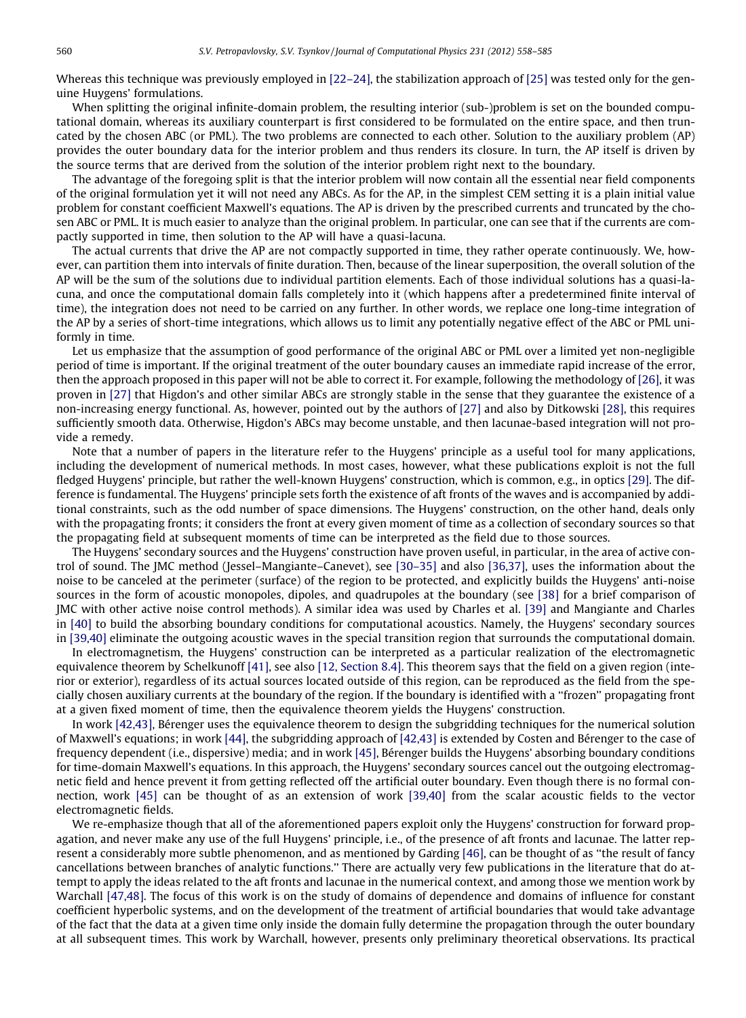Whereas this technique was previously employed in [\[22–24\]](#page-26-0), the stabilization approach of [\[25\]](#page-26-0) was tested only for the genuine Huygens' formulations.

When splitting the original infinite-domain problem, the resulting interior (sub-)problem is set on the bounded computational domain, whereas its auxiliary counterpart is first considered to be formulated on the entire space, and then truncated by the chosen ABC (or PML). The two problems are connected to each other. Solution to the auxiliary problem (AP) provides the outer boundary data for the interior problem and thus renders its closure. In turn, the AP itself is driven by the source terms that are derived from the solution of the interior problem right next to the boundary.

The advantage of the foregoing split is that the interior problem will now contain all the essential near field components of the original formulation yet it will not need any ABCs. As for the AP, in the simplest CEM setting it is a plain initial value problem for constant coefficient Maxwell's equations. The AP is driven by the prescribed currents and truncated by the chosen ABC or PML. It is much easier to analyze than the original problem. In particular, one can see that if the currents are compactly supported in time, then solution to the AP will have a quasi-lacuna.

The actual currents that drive the AP are not compactly supported in time, they rather operate continuously. We, however, can partition them into intervals of finite duration. Then, because of the linear superposition, the overall solution of the AP will be the sum of the solutions due to individual partition elements. Each of those individual solutions has a quasi-lacuna, and once the computational domain falls completely into it (which happens after a predetermined finite interval of time), the integration does not need to be carried on any further. In other words, we replace one long-time integration of the AP by a series of short-time integrations, which allows us to limit any potentially negative effect of the ABC or PML uniformly in time.

Let us emphasize that the assumption of good performance of the original ABC or PML over a limited yet non-negligible period of time is important. If the original treatment of the outer boundary causes an immediate rapid increase of the error, then the approach proposed in this paper will not be able to correct it. For example, following the methodology of [\[26\]](#page-26-0), it was proven in [\[27\]](#page-26-0) that Higdon's and other similar ABCs are strongly stable in the sense that they guarantee the existence of a non-increasing energy functional. As, however, pointed out by the authors of [\[27\]](#page-26-0) and also by Ditkowski [\[28\]](#page-26-0), this requires sufficiently smooth data. Otherwise, Higdon's ABCs may become unstable, and then lacunae-based integration will not provide a remedy.

Note that a number of papers in the literature refer to the Huygens' principle as a useful tool for many applications, including the development of numerical methods. In most cases, however, what these publications exploit is not the full fledged Huygens' principle, but rather the well-known Huygens' construction, which is common, e.g., in optics [\[29\].](#page-26-0) The difference is fundamental. The Huygens' principle sets forth the existence of aft fronts of the waves and is accompanied by additional constraints, such as the odd number of space dimensions. The Huygens' construction, on the other hand, deals only with the propagating fronts; it considers the front at every given moment of time as a collection of secondary sources so that the propagating field at subsequent moments of time can be interpreted as the field due to those sources.

The Huygens' secondary sources and the Huygens' construction have proven useful, in particular, in the area of active control of sound. The JMC method (Jessel–Mangiante–Canevet), see [\[30–35\]](#page-26-0) and also [\[36,37\]](#page-26-0), uses the information about the noise to be canceled at the perimeter (surface) of the region to be protected, and explicitly builds the Huygens' anti-noise sources in the form of acoustic monopoles, dipoles, and quadrupoles at the boundary (see [\[38\]](#page-26-0) for a brief comparison of JMC with other active noise control methods). A similar idea was used by Charles et al. [\[39\]](#page-26-0) and Mangiante and Charles in [\[40\]](#page-26-0) to build the absorbing boundary conditions for computational acoustics. Namely, the Huygens' secondary sources in [\[39,40\]](#page-26-0) eliminate the outgoing acoustic waves in the special transition region that surrounds the computational domain.

In electromagnetism, the Huygens' construction can be interpreted as a particular realization of the electromagnetic equivalence theorem by Schelkunoff [\[41\]](#page-26-0), see also [\[12, Section 8.4\].](#page-26-0) This theorem says that the field on a given region (interior or exterior), regardless of its actual sources located outside of this region, can be reproduced as the field from the specially chosen auxiliary currents at the boundary of the region. If the boundary is identified with a ''frozen'' propagating front at a given fixed moment of time, then the equivalence theorem yields the Huygens' construction.

In work [\[42,43\]](#page-26-0), Bérenger uses the equivalence theorem to design the subgridding techniques for the numerical solution of Maxwell's equations; in work [\[44\],](#page-26-0) the subgridding approach of [\[42,43\]](#page-26-0) is extended by Costen and Bérenger to the case of frequency dependent (i.e., dispersive) media; and in work [\[45\],](#page-26-0) Bérenger builds the Huygens' absorbing boundary conditions for time-domain Maxwell's equations. In this approach, the Huygens' secondary sources cancel out the outgoing electromagnetic field and hence prevent it from getting reflected off the artificial outer boundary. Even though there is no formal connection, work [\[45\]](#page-26-0) can be thought of as an extension of work [\[39,40\]](#page-26-0) from the scalar acoustic fields to the vector electromagnetic fields.

We re-emphasize though that all of the aforementioned papers exploit only the Huygens' construction for forward propagation, and never make any use of the full Huygens' principle, i.e., of the presence of aft fronts and lacunae. The latter rep-resent a considerably more subtle phenomenon, and as mentioned by Garding [\[46\]](#page-26-0), can be thought of as "the result of fancy cancellations between branches of analytic functions.'' There are actually very few publications in the literature that do attempt to apply the ideas related to the aft fronts and lacunae in the numerical context, and among those we mention work by Warchall [\[47,48\].](#page-26-0) The focus of this work is on the study of domains of dependence and domains of influence for constant coefficient hyperbolic systems, and on the development of the treatment of artificial boundaries that would take advantage of the fact that the data at a given time only inside the domain fully determine the propagation through the outer boundary at all subsequent times. This work by Warchall, however, presents only preliminary theoretical observations. Its practical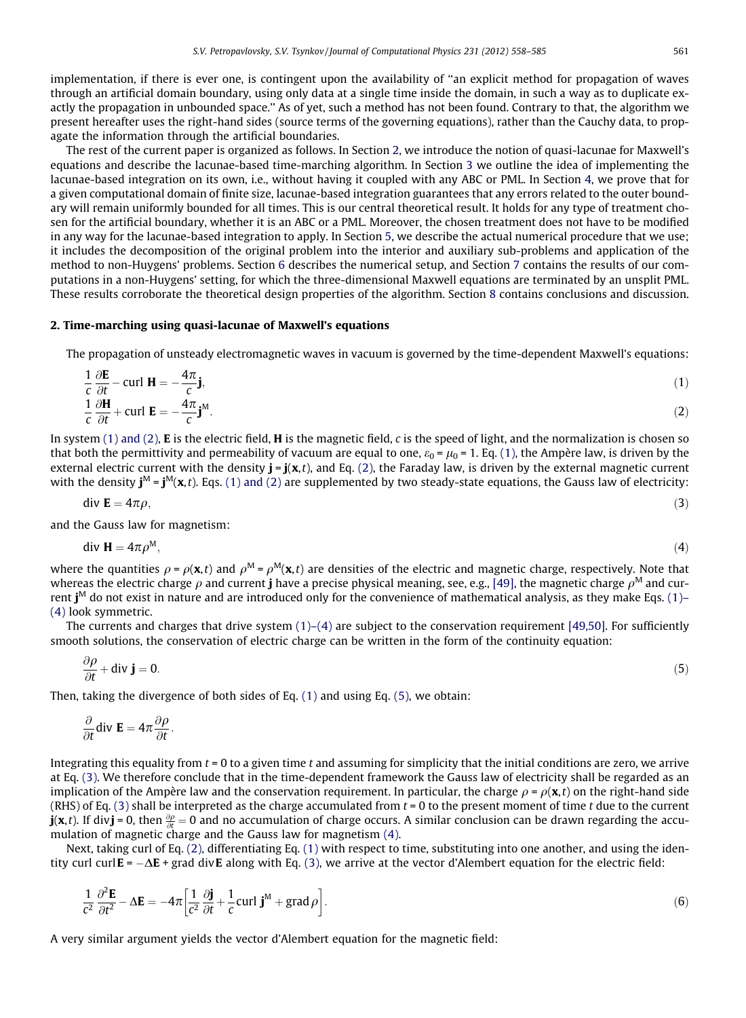<span id="page-3-0"></span>implementation, if there is ever one, is contingent upon the availability of ''an explicit method for propagation of waves through an artificial domain boundary, using only data at a single time inside the domain, in such a way as to duplicate exactly the propagation in unbounded space.'' As of yet, such a method has not been found. Contrary to that, the algorithm we present hereafter uses the right-hand sides (source terms of the governing equations), rather than the Cauchy data, to propagate the information through the artificial boundaries.

The rest of the current paper is organized as follows. In Section 2, we introduce the notion of quasi-lacunae for Maxwell's equations and describe the lacunae-based time-marching algorithm. In Section 3 we outline the idea of implementing the lacunae-based integration on its own, i.e., without having it coupled with any ABC or PML. In Section 4, we prove that for a given computational domain of finite size, lacunae-based integration guarantees that any errors related to the outer boundary will remain uniformly bounded for all times. This is our central theoretical result. It holds for any type of treatment chosen for the artificial boundary, whether it is an ABC or a PML. Moreover, the chosen treatment does not have to be modified in any way for the lacunae-based integration to apply. In Section 5, we describe the actual numerical procedure that we use; it includes the decomposition of the original problem into the interior and auxiliary sub-problems and application of the method to non-Huygens' problems. Section 6 describes the numerical setup, and Section 7 contains the results of our computations in a non-Huygens' setting, for which the three-dimensional Maxwell equations are terminated by an unsplit PML. These results corroborate the theoretical design properties of the algorithm. Section 8 contains conclusions and discussion.

## 2. Time-marching using quasi-lacunae of Maxwell's equations

The propagation of unsteady electromagnetic waves in vacuum is governed by the time-dependent Maxwell's equations:

$$
\frac{1}{c} \frac{\partial \mathbf{E}}{\partial t} - \text{curl } \mathbf{H} = -\frac{4\pi}{c} \mathbf{j},
$$
  
\n
$$
\frac{1}{c} \frac{\partial \mathbf{H}}{\partial t} + \text{curl } \mathbf{E} = -\frac{4\pi}{c} \mathbf{j}^{\text{M}}.
$$
\n(1)

In system (1) and (2), **E** is the electric field, **H** is the magnetic field, c is the speed of light, and the normalization is chosen so that both the permittivity and permeability of vacuum are equal to one,  $\varepsilon_0 = \mu_0 = 1$ . Eq. (1), the Ampère law, is driven by the external electric current with the density  $\mathbf{i} = \mathbf{j}(\mathbf{x},t)$ , and Eq. (2), the Faraday law, is driven by the external magnetic current with the density  $\mathbf{j}^{\mathsf{M}}=\mathbf{j}^{\mathsf{M}}(\mathbf{x},t)$ . Eqs. (1) and (2) are supplemented by two steady-state equations, the Gauss law of electricity:

$$
\text{div } \mathbf{E} = 4\pi \rho, \tag{3}
$$

and the Gauss law for magnetism:

$$
\text{div } \mathbf{H} = 4\pi \rho^{\text{M}},\tag{4}
$$

where the quantities  $\rho = \rho(\mathbf{x},t)$  and  $\rho^M = \rho^M(\mathbf{x},t)$  are densities of the electric and magnetic charge, respectively. Note that whereas the electric charge  $\rho$  and current j have a precise physical meaning, see, e.g., [\[49\]](#page-26-0), the magnetic charge  $\rho^M$  and current  $j^M$  do not exist in nature and are introduced only for the convenience of mathematical analysis, as they make Eqs. (1)– (4) look symmetric.

The currents and charges that drive system  $(1)$ – $(4)$  are subject to the conservation requirement  $[49,50]$ . For sufficiently smooth solutions, the conservation of electric charge can be written in the form of the continuity equation:

$$
\frac{\partial \rho}{\partial t} + \text{div } \mathbf{j} = 0. \tag{5}
$$

Then, taking the divergence of both sides of Eq. (1) and using Eq. (5), we obtain:

$$
\frac{\partial}{\partial t} \text{div } \mathbf{E} = 4\pi \frac{\partial \rho}{\partial t}.
$$

Integrating this equality from  $t = 0$  to a given time  $t$  and assuming for simplicity that the initial conditions are zero, we arrive at Eq. (3). We therefore conclude that in the time-dependent framework the Gauss law of electricity shall be regarded as an implication of the Ampère law and the conservation requirement. In particular, the charge  $\rho = \rho(\mathbf{x},t)$  on the right-hand side (RHS) of Eq. (3) shall be interpreted as the charge accumulated from  $t = 0$  to the present moment of time  $t$  due to the current  $\bm{j}(\bm{x},t)$ . If div $\bm{j} = 0$ , then  $\frac{\partial \rho}{\partial t} = 0$  and no accumulation of charge occurs. A similar conclusion can be drawn regarding the accumulation of magnetic charge and the Gauss law for magnetism (4).

Next, taking curl of Eq. (2), differentiating Eq. (1) with respect to time, substituting into one another, and using the identity curl curl **E** =  $\Delta$ **E** + grad div **E** along with Eq. (3), we arrive at the vector d'Alembert equation for the electric field:

$$
\frac{1}{c^2} \frac{\partial^2 \mathbf{E}}{\partial t^2} - \Delta \mathbf{E} = -4\pi \left[ \frac{1}{c^2} \frac{\partial \mathbf{j}}{\partial t} + \frac{1}{c} \text{curl } \mathbf{j}^M + \text{grad } \rho \right].
$$
 (6)

A very similar argument yields the vector d'Alembert equation for the magnetic field: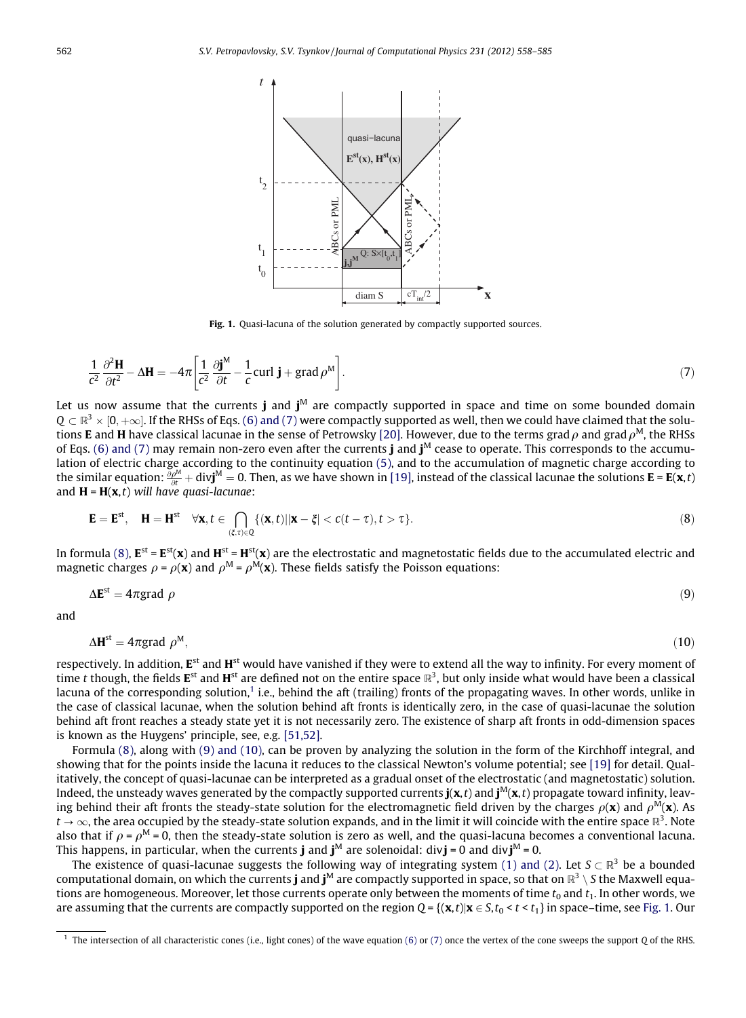<span id="page-4-0"></span>

Fig. 1. Quasi-lacuna of the solution generated by compactly supported sources.

$$
\frac{1}{c^2} \frac{\partial^2 \mathbf{H}}{\partial t^2} - \Delta \mathbf{H} = -4\pi \left[ \frac{1}{c^2} \frac{\partial \mathbf{j}^M}{\partial t} - \frac{1}{c} \operatorname{curl} \mathbf{j} + \operatorname{grad} \rho^M \right].
$$
 (7)

Let us now assume that the currents **j** and  $j^M$  are compactly supported in space and time on some bounded domain  $Q \subset \mathbb{R}^3 \times [0, +\infty]$ . If the RHSs of Eqs. [\(6\) and \(7\)](#page-3-0) were compactly supported as well, then we could have claimed that the solutions **E** and **H** have classical lacunae in the sense of Petrowsky [\[20\]](#page-26-0). However, due to the terms grad  $\rho$  and grad  $\rho^M$ , the RHSs of Eqs. [\(6\) and \(7\)](#page-3-0) may remain non-zero even after the currents **j** and  $j^M$  cease to operate. This corresponds to the accumulation of electric charge according to the continuity equation [\(5\),](#page-3-0) and to the accumulation of magnetic charge according to the similar equation:  $\frac{\partial \rho^M}{\partial t}+$  divj $^M=$  0. Then, as we have shown in [\[19\]](#page-26-0), instead of the classical lacunae the solutions  $E=E(x,t)$ and  $H = H(x, t)$  will have quasi-lacunae:

$$
\mathbf{E} = \mathbf{E}^{\text{st}}, \quad \mathbf{H} = \mathbf{H}^{\text{st}} \quad \forall \mathbf{x}, t \in \bigcap_{(\xi, \tau) \in \mathbb{Q}} \{ (\mathbf{x}, t) | |\mathbf{x} - \xi| < c(t - \tau), t > \tau \}. \tag{8}
$$

In formula (8),  $E^{st} = E^{st}(x)$  and  $H^{st} = H^{st}(x)$  are the electrostatic and magnetostatic fields due to the accumulated electric and magnetic charges  $\rho = \rho(\mathbf{x})$  and  $\rho^M = \rho^M(\mathbf{x})$ . These fields satisfy the Poisson equations:

$$
\Delta E^{\text{st}} = 4\pi \text{grad } \rho \tag{9}
$$

and

$$
\Delta H^{\text{st}} = 4\pi \text{grad } \rho^{\text{M}},\tag{10}
$$

respectively. In addition, E<sup>st</sup> and H<sup>st</sup> would have vanished if they were to extend all the way to infinity. For every moment of time t though, the fields  $E^{st}$  and  $H^{st}$  are defined not on the entire space  $\mathbb{R}^3$ , but only inside what would have been a classical lacuna of the corresponding solution,<sup>1</sup> i.e., behind the aft (trailing) fronts of the propagating waves. In other words, unlike in the case of classical lacunae, when the solution behind aft fronts is identically zero, in the case of quasi-lacunae the solution behind aft front reaches a steady state yet it is not necessarily zero. The existence of sharp aft fronts in odd-dimension spaces is known as the Huygens' principle, see, e.g. [\[51,52\].](#page-26-0)

Formula (8), along with (9) and (10), can be proven by analyzing the solution in the form of the Kirchhoff integral, and showing that for the points inside the lacuna it reduces to the classical Newton's volume potential; see [\[19\]](#page-26-0) for detail. Qualitatively, the concept of quasi-lacunae can be interpreted as a gradual onset of the electrostatic (and magnetostatic) solution. Indeed, the unsteady waves generated by the compactly supported currents  $j(x, t)$  and  $j^M(x, t)$  propagate toward infinity, leaving behind their aft fronts the steady-state solution for the electromagnetic field driven by the charges  $\rho(x)$  and  $\rho^{M}(x)$ . As  $t \to \infty$ , the area occupied by the steady-state solution expands, and in the limit it will coincide with the entire space  $\mathbb{R}^3$ . Note also that if  $\rho = \rho^M = 0$ , then the steady-state solution is zero as well, and the quasi-lacuna becomes a conventional lacuna. This happens, in particular, when the currents  ${\bf j}$  and  ${\bf j}^{\sf M}$  are solenoidal: div ${\bf j}$  = 0 and div ${\bf j}^{\sf M}$  = 0.

The existence of quasi-lacunae suggests the following way of integrating system [\(1\) and \(2\)](#page-3-0). Let  $S \subset \mathbb{R}^3$  be a bounded computational domain, on which the currents  $\bf{j}$  and  $\bf{j}^M$  are compactly supported in space, so that on  $\R^3\setminus S$  the Maxwell equations are homogeneous. Moreover, let those currents operate only between the moments of time  $t_0$  and  $t_1$ . In other words, we are assuming that the currents are compactly supported on the region  $Q = \{(\mathbf{x}, t)|\mathbf{x} \in S, t_0 < t < t_1\}$  in space–time, see Fig. 1. Our

<sup>&</sup>lt;sup>1</sup> The intersection of all characteristic cones (i.e., light cones) of the wave equation [\(6\)](#page-3-0) or (7) once the vertex of the cone sweeps the support Q of the RHS.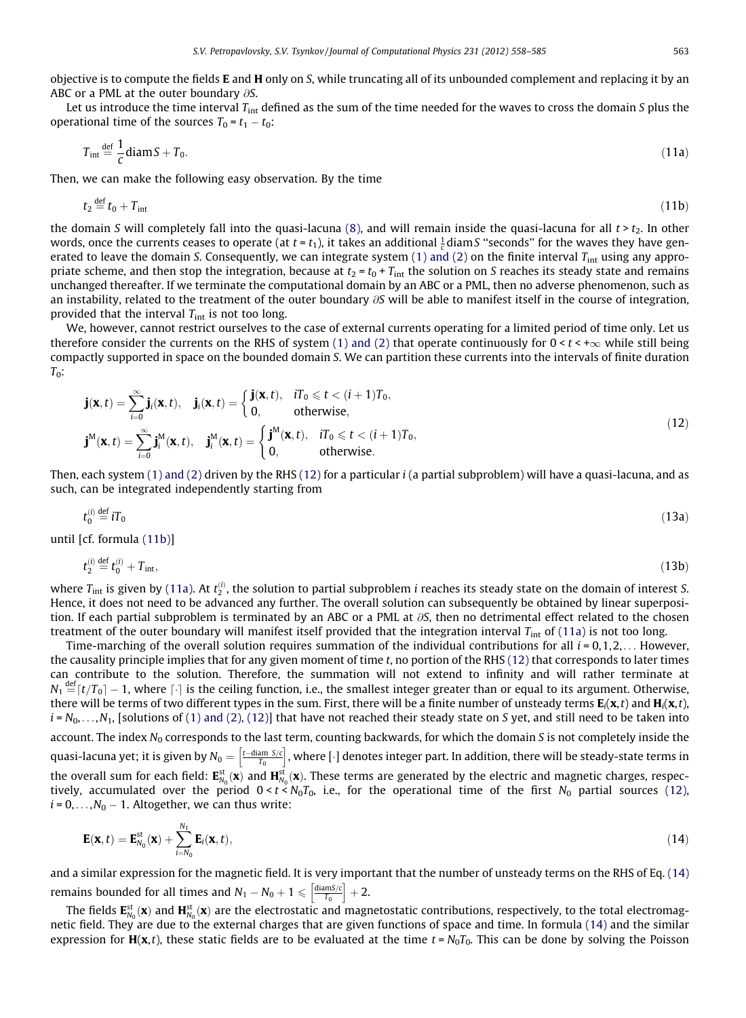<span id="page-5-0"></span>objective is to compute the fields E and H only on S, while truncating all of its unbounded complement and replacing it by an ABC or a PML at the outer boundary  $\partial S$ .

Let us introduce the time interval  $T_{\text{int}}$  defined as the sum of the time needed for the waves to cross the domain S plus the operational time of the sources  $T_0$  =  $t_1 - t_0$ :

$$
T_{\rm int} \stackrel{\rm def}{=} \frac{1}{c} \operatorname{diam} S + T_0. \tag{11a}
$$

Then, we can make the following easy observation. By the time

$$
t_2 \stackrel{\text{def}}{=} t_0 + T_{\text{int}} \tag{11b}
$$

the domain S will completely fall into the quasi-lacuna [\(8\)](#page-4-0), and will remain inside the quasi-lacuna for all  $t > t_2$ . In other words, once the currents ceases to operate (at  $t$  =  $t_1$ ), it takes an additional  $\frac{1}{c}$ diamS "seconds" for the waves they have generated to leave the domain S. Consequently, we can integrate system  $(1)$  and  $(2)$  on the finite interval  $T_{\text{int}}$  using any appropriate scheme, and then stop the integration, because at  $t_2 = t_0 + T_{int}$  the solution on S reaches its steady state and remains unchanged thereafter. If we terminate the computational domain by an ABC or a PML, then no adverse phenomenon, such as an instability, related to the treatment of the outer boundary  $\partial S$  will be able to manifest itself in the course of integration, provided that the interval  $T_{int}$  is not too long.

We, however, cannot restrict ourselves to the case of external currents operating for a limited period of time only. Let us therefore consider the currents on the RHS of system [\(1\) and \(2\)](#page-3-0) that operate continuously for  $0 < t < +\infty$  while still being compactly supported in space on the bounded domain S. We can partition these currents into the intervals of finite duration  $T_0$ :

$$
\mathbf{j}(\mathbf{x},t) = \sum_{i=0}^{\infty} \mathbf{j}_i(\mathbf{x},t), \quad \mathbf{j}_i(\mathbf{x},t) = \begin{cases} \mathbf{j}(\mathbf{x},t), & \text{if } t < (i+1)T_0, \\ 0, & \text{otherwise,} \end{cases}
$$
\n
$$
\mathbf{j}^M(\mathbf{x},t) = \sum_{i=0}^{\infty} \mathbf{j}_i^M(\mathbf{x},t), \quad \mathbf{j}_i^M(\mathbf{x},t) = \begin{cases} \mathbf{j}^M(\mathbf{x},t), & \text{if } T_0 \leq t < (i+1)T_0, \\ 0, & \text{otherwise.} \end{cases} \tag{12}
$$

Then, each system  $(1)$  and  $(2)$  driven by the RHS  $(12)$  for a particular i (a partial subproblem) will have a quasi-lacuna, and as such, can be integrated independently starting from

$$
t_0^{(i)} \stackrel{\text{def}}{=} iT_0 \tag{13a}
$$

until [cf. formula (11b)]

$$
t_2^{(i)} \stackrel{\text{def}}{=} t_0^{(i)} + T_{\text{int}}, \tag{13b}
$$

where  $T_{\rm int}$  is given by (11a). At  $t_2^{(i)}$ , the solution to partial subproblem  $i$  reaches its steady state on the domain of interest S. Hence, it does not need to be advanced any further. The overall solution can subsequently be obtained by linear superposition. If each partial subproblem is terminated by an ABC or a PML at  $\partial S$ , then no detrimental effect related to the chosen treatment of the outer boundary will manifest itself provided that the integration interval  $T_{int}$  of (11a) is not too long.

Time-marching of the overall solution requires summation of the individual contributions for all  $i = 0, 1, 2, \ldots$  However, the causality principle implies that for any given moment of time  $t$ , no portion of the RHS (12) that corresponds to later times can contribute to the solution. Therefore, the summation will not extend to infinity and will rather terminate at  $N_1 \stackrel{\text{def}}{=} [t/T_0]-1$ , where  $\lceil \cdot \rceil$  is the ceiling function, i.e., the smallest integer greater than or equal to its argument. Otherwise, there will be terms of two different types in the sum. First, there will be a finite number of unsteady terms  $E_i(x, t)$  and  $H_i(x, t)$ ,  $i = N_0, \ldots, N_1$ , [solutions of [\(1\) and \(2\), \(12\)](#page-3-0)] that have not reached their steady state on S yet, and still need to be taken into account. The index  $N_0$  corresponds to the last term, counting backwards, for which the domain S is not completely inside the quasi-lacuna yet; it is given by  $N_0 = \left[\frac{t-\text{diam } S/c}{T_0}\right]$ , where [ $\cdot$ ] denotes integer part. In addition, there will be steady-state terms in the overall sum for each field:  $E_{N_0}^{\rm st}({\bf x})$  and  ${\bf H}_{N_0}^{\rm st}({\bf x}).$  These terms are generated by the electric and magnetic charges, respectively, accumulated over the period  $0 < t < N_0T_0$ , i.e., for the operational time of the first  $N_0$  partial sources (12),  $i$  = 0,  $\dots$  ,  $N_0$   $-$  1. Altogether, we can thus write:

$$
\mathbf{E}(\mathbf{x},t) = \mathbf{E}_{N_0}^{\mathrm{st}}(\mathbf{x}) + \sum_{i=N_0}^{N_1} \mathbf{E}_i(\mathbf{x},t),
$$
\n(14)

and a similar expression for the magnetic field. It is very important that the number of unsteady terms on the RHS of Eq. (14) remains bounded for all times and  $N_1 - N_0 + 1 \leq \left[ \frac{\text{diam} S/c}{T_0} \right] + 2$ .

The fields  $\mathbf{E}_{N_0}^{\rm st}(\bf{x})$  and  $\mathbf{H}_{N_0}^{\rm st}(\bf{x})$  are the electrostatic and magnetostatic contributions, respectively, to the total electromagnetic field. They are due to the external charges that are given functions of space and time. In formula (14) and the similar expression for  $H(x, t)$ , these static fields are to be evaluated at the time  $t = N_0T_0$ . This can be done by solving the Poisson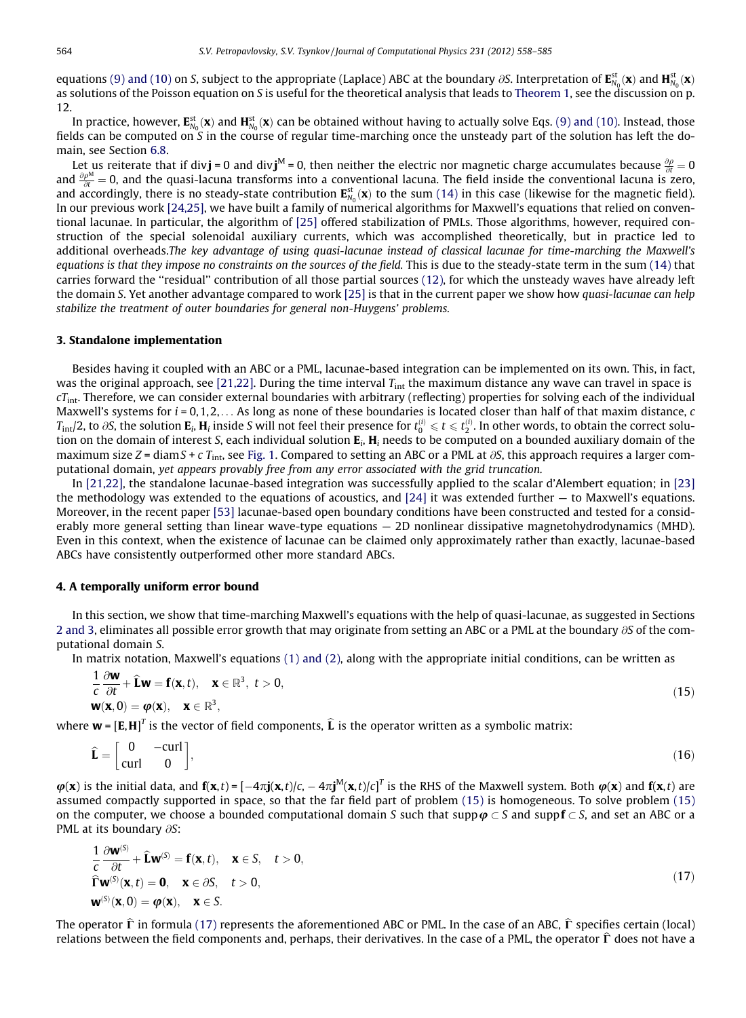<span id="page-6-0"></span>equations [\(9\) and \(10\)](#page-4-0) on S, subject to the appropriate (Laplace) ABC at the boundary  $\partial S$ . Interpretation of  $\mathbf{E}_{N_0}^{st}(\mathbf{x})$  and  $\mathbf{H}_{N_0}^{st}(\mathbf{x})$ as solutions of the Poisson equation on S is useful for the theoretical analysis that leads to [Theorem 1](#page-8-0), see the discussion on p. 12.

In practice, however,  $E_{N_0}^{st}(\bm{x})$  and  $H_{N_0}^{st}(\bm{x})$  can be obtained without having to actually solve Eqs. [\(9\) and \(10\).](#page-4-0) Instead, those fields can be computed on  $S$  in the course of regular time-marching once the unsteady part of the solution has left the domain, see Section 6.8.

Let us reiterate that if divj = 0 and divj<sup>M</sup> = 0, then neither the electric nor magnetic charge accumulates because  $\frac{\partial \rho}{\partial t} = 0$ and  $\frac{\partial \rho^M}{\partial t} = 0$ , and the quasi-lacuna transforms into a conventional lacuna. The field inside the conventional lacuna is zero, and accordingly, there is no steady-state contribution  $E_{N_0}^{st}(x)$  to the sum [\(14\)](#page-5-0) in this case (likewise for the magnetic field). In our previous work [\[24,25\],](#page-26-0) we have built a family of numerical algorithms for Maxwell's equations that relied on conventional lacunae. In particular, the algorithm of [\[25\]](#page-26-0) offered stabilization of PMLs. Those algorithms, however, required construction of the special solenoidal auxiliary currents, which was accomplished theoretically, but in practice led to additional overheads.The key advantage of using quasi-lacunae instead of classical lacunae for time-marching the Maxwell's equations is that they impose no constraints on the sources of the field. This is due to the steady-state term in the sum [\(14\)](#page-5-0) that carries forward the ''residual'' contribution of all those partial sources [\(12\),](#page-5-0) for which the unsteady waves have already left the domain S. Yet another advantage compared to work [\[25\]](#page-26-0) is that in the current paper we show how quasi-lacunae can help stabilize the treatment of outer boundaries for general non-Huygens' problems.

### 3. Standalone implementation

Besides having it coupled with an ABC or a PML, lacunae-based integration can be implemented on its own. This, in fact, was the original approach, see [\[21,22\]](#page-26-0). During the time interval  $T_{\text{int}}$  the maximum distance any wave can travel in space is  $cT<sub>int</sub>$ . Therefore, we can consider external boundaries with arbitrary (reflecting) properties for solving each of the individual Maxwell's systems for  $i = 0, 1, 2, \ldots$  As long as none of these boundaries is located closer than half of that maxim distance, c  $T_{\rm int}$ /2, to  $\partial$ S, the solution  ${\bf E}_i$ ,  ${\bf H}_i$  inside S will not feel their presence for  $t_0^{(i)}\leqslant t\leqslant t_2^{(i)}.$  In other words, to obtain the correct solution on the domain of interest S, each individual solution  $E_i$ ,  $H_i$  needs to be computed on a bounded auxiliary domain of the maximum size Z = diamS + c T<sub>int</sub>, see [Fig. 1.](#page-4-0) Compared to setting an ABC or a PML at  $\partial S$ , this approach requires a larger computational domain, yet appears provably free from any error associated with the grid truncation.

In [\[21,22\],](#page-26-0) the standalone lacunae-based integration was successfully applied to the scalar d'Alembert equation; in [\[23\]](#page-26-0) the methodology was extended to the equations of acoustics, and  $[24]$  it was extended further  $-$  to Maxwell's equations. Moreover, in the recent paper [\[53\]](#page-26-0) lacunae-based open boundary conditions have been constructed and tested for a considerably more general setting than linear wave-type equations — 2D nonlinear dissipative magnetohydrodynamics (MHD). Even in this context, when the existence of lacunae can be claimed only approximately rather than exactly, lacunae-based ABCs have consistently outperformed other more standard ABCs.

## 4. A temporally uniform error bound

In this section, we show that time-marching Maxwell's equations with the help of quasi-lacunae, as suggested in Sections 2 and 3, eliminates all possible error growth that may originate from setting an ABC or a PML at the boundary  $\partial S$  of the computational domain S.

In matrix notation, Maxwell's equations [\(1\) and \(2\)](#page-3-0), along with the appropriate initial conditions, can be written as

$$
\frac{1}{c}\frac{\partial \mathbf{w}}{\partial t} + \mathbf{\hat{L}}\mathbf{w} = \mathbf{f}(\mathbf{x},t), \quad \mathbf{x} \in \mathbb{R}^3, \ t > 0,
$$
  

$$
\mathbf{w}(\mathbf{x},0) = \boldsymbol{\varphi}(\mathbf{x}), \quad \mathbf{x} \in \mathbb{R}^3,
$$
 (15)

where  $\mathbf{w} = [\mathbf{E},\mathbf{H}]^T$  is the vector of field components,  $\widehat{\mathbf{L}}$  is the operator written as a symbolic matrix:

$$
\hat{\mathbf{L}} = \begin{bmatrix} 0 & -\text{curl} \\ \text{curl} & 0 \end{bmatrix},\tag{16}
$$

 $\varphi(x)$  is the initial data, and  $f(x,t) = [-4\pi j(x,t)/c, -4\pi j^M(x,t)/c]^T$  is the RHS of the Maxwell system. Both  $\varphi(x)$  and  $f(x,t)$  are assumed compactly supported in space, so that the far field part of problem (15) is homogeneous. To solve problem (15) on the computer, we choose a bounded computational domain S such that supp $\varphi \subset S$  and supp $f \subset S$ , and set an ABC or a PML at its boundary  $\partial S$ :

$$
\frac{1}{c} \frac{\partial \mathbf{w}^{(S)}}{\partial t} + \hat{\mathbf{L}} \mathbf{w}^{(S)} = \mathbf{f}(\mathbf{x}, t), \quad \mathbf{x} \in S, \quad t > 0, \n\hat{\mathbf{\Gamma}} \mathbf{w}^{(S)}(\mathbf{x}, t) = \mathbf{0}, \quad \mathbf{x} \in \partial S, \quad t > 0, \n\mathbf{w}^{(S)}(\mathbf{x}, 0) = \boldsymbol{\varphi}(\mathbf{x}), \quad \mathbf{x} \in S.
$$
\n(17)

The operator  $\hat{\Gamma}$  in formula (17) represents the aforementioned ABC or PML. In the case of an ABC,  $\hat{\Gamma}$  specifies certain (local) relations between the field components and, perhaps, their derivatives. In the case of a PML, the operator  $\hat{\Gamma}$  does not have a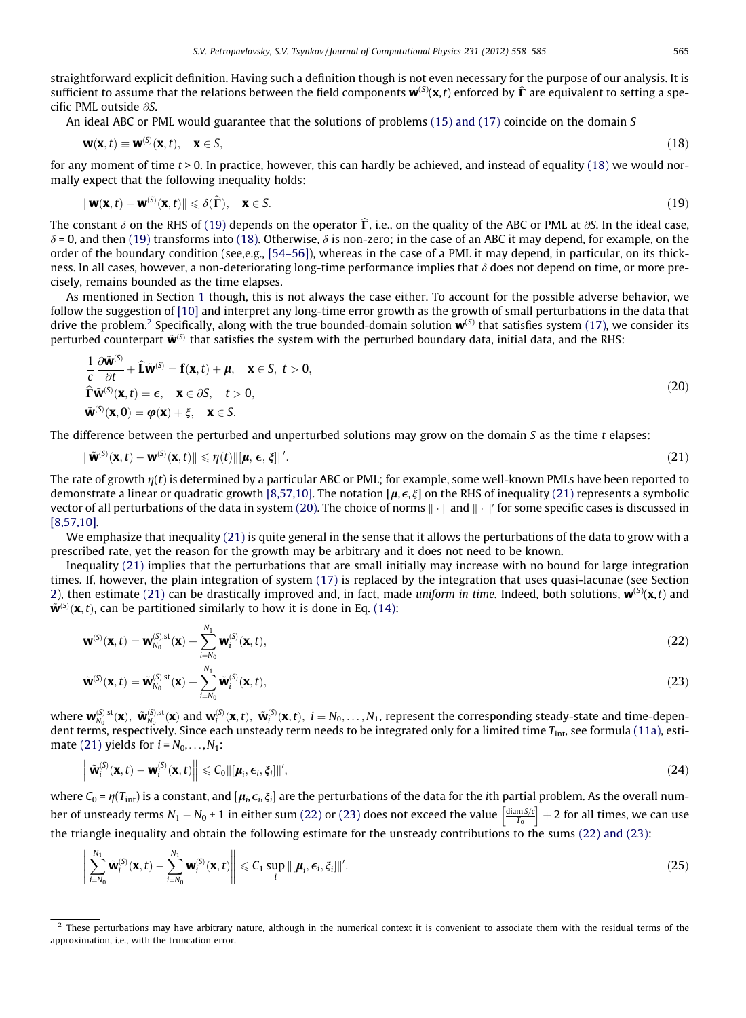<span id="page-7-0"></span>An ideal ABC or PML would guarantee that the solutions of problems [\(15\) and \(17\)](#page-6-0) coincide on the domain S

$$
\mathbf{w}(\mathbf{x},t) \equiv \mathbf{w}^{(S)}(\mathbf{x},t), \quad \mathbf{x} \in S,
$$
\n<sup>(18)</sup>

for any moment of time  $t > 0$ . In practice, however, this can hardly be achieved, and instead of equality (18) we would normally expect that the following inequality holds:

$$
\|\mathbf{W}(\mathbf{x},t) - \mathbf{W}^{(S)}(\mathbf{x},t)\| \leq \delta(\widehat{\boldsymbol{\Gamma}}), \quad \mathbf{x} \in S. \tag{19}
$$

The constant  $\delta$  on the RHS of (19) depends on the operator  $\hat{\Gamma}$ , i.e., on the quality of the ABC or PML at  $\partial S$ . In the ideal case,  $\delta$  = 0, and then (19) transforms into (18). Otherwise,  $\delta$  is non-zero; in the case of an ABC it may depend, for example, on the order of the boundary condition (see,e.g., [\[54–56\]\)](#page-26-0), whereas in the case of a PML it may depend, in particular, on its thickness. In all cases, however, a non-deteriorating long-time performance implies that  $\delta$  does not depend on time, or more precisely, remains bounded as the time elapses.

As mentioned in Section 1 though, this is not always the case either. To account for the possible adverse behavior, we follow the suggestion of [\[10\]](#page-26-0) and interpret any long-time error growth as the growth of small perturbations in the data that drive the problem.<sup>2</sup> Specifically, along with the true bounded-domain solution  $w^{(S)}$  that satisfies system [\(17\)](#page-6-0), we consider its perturbed counterpart  $\tilde{\mathbf{w}}^{(S)}$  that satisfies the system with the perturbed boundary data, initial data, and the RHS:

$$
\frac{1}{c} \frac{\partial \tilde{\mathbf{W}}^{(S)}}{\partial t} + \hat{\mathbf{L}} \tilde{\mathbf{W}}^{(S)} = \mathbf{f}(\mathbf{x}, t) + \boldsymbol{\mu}, \quad \mathbf{x} \in S, \ t > 0, \n\hat{\mathbf{\Gamma}} \tilde{\mathbf{W}}^{(S)}(\mathbf{x}, t) = \boldsymbol{\epsilon}, \quad \mathbf{x} \in \partial S, \ t > 0, \n\tilde{\mathbf{W}}^{(S)}(\mathbf{x}, 0) = \boldsymbol{\varphi}(\mathbf{x}) + \boldsymbol{\xi}, \quad \mathbf{x} \in S.
$$
\n(20)

The difference between the perturbed and unperturbed solutions may grow on the domain  $S$  as the time  $t$  elapses:

$$
\|\tilde{\mathbf{W}}^{(\mathsf{S})}(\mathbf{x},t) - \mathbf{W}^{(\mathsf{S})}(\mathbf{x},t)\| \leq \eta(t) \|\mathbf{\mu}, \epsilon, \xi\|^{\prime}.
$$
 (21)

The rate of growth  $\eta(t)$  is determined by a particular ABC or PML; for example, some well-known PMLs have been reported to demonstrate a linear or quadratic growth [\[8,57,10\].](#page-26-0) The notation [ $\mu,\epsilon,\xi$ ] on the RHS of inequality (21) represents a symbolic vector of all perturbations of the data in system (20). The choice of norms  $\|\cdot\|$  and  $\|\cdot\|'$  for some specific cases is discussed in [\[8,57,10\]](#page-26-0).

We emphasize that inequality  $(21)$  is quite general in the sense that it allows the perturbations of the data to grow with a prescribed rate, yet the reason for the growth may be arbitrary and it does not need to be known.

Inequality (21) implies that the perturbations that are small initially may increase with no bound for large integration times. If, however, the plain integration of system [\(17\)](#page-6-0) is replaced by the integration that uses quasi-lacunae (see Section 2), then estimate (21) can be drastically improved and, in fact, made *uniform in time.* Indeed, both solutions,  $w^{(S)}(x,t)$  and  $\tilde{\mathbf{w}}^{(\text{S})}(\mathbf{x},t)$ , can be partitioned similarly to how it is done in Eq. [\(14\):](#page-5-0)

$$
\mathbf{w}^{(S)}(\mathbf{x},t) = \mathbf{w}_{N_0}^{(S),\text{st}}(\mathbf{x}) + \sum_{i=N_0}^{N_1} \mathbf{w}_i^{(S)}(\mathbf{x},t),
$$
\n(22)

$$
\tilde{\mathbf{W}}^{(S)}(\mathbf{x},t) = \tilde{\mathbf{W}}_{N_0}^{(S),\text{st}}(\mathbf{x}) + \sum_{i=N_0}^{N_1} \tilde{\mathbf{W}}_i^{(S)}(\mathbf{x},t),
$$
\n(23)

where  $\mathbf{w}_{N_0}^{(S),{\rm st}}(x)$ ,  $\tilde{\mathbf{w}}_{N_0}^{(S),{\rm st}}(x)$  and  $\mathbf{w}_i^{(S)}(x,t)$ ,  $\tilde{\mathbf{w}}_i^{(S)}(x,t)$ ,  $i=N_0,\ldots,N_1$ , represent the corresponding steady-state and time-dependent terms, respectively. Since each unsteady term needs to be integrated only for a limited time  $T_{\text{int}}$ , see formula [\(11a\)](#page-5-0), estimate (21) yields for  $i = N_0, \ldots, N_1$ :

$$
\left\| \tilde{\mathbf{W}}_i^{(S)}(\mathbf{x},t) - \mathbf{W}_i^{(S)}(\mathbf{x},t) \right\| \leq C_0 \|\left[\mathbf{\mu}_i, \boldsymbol{\epsilon}_i, \boldsymbol{\xi}_i\right]\|',\tag{24}
$$

where C<sub>0</sub> =  $\eta(T_{\rm int})$  is a constant, and [ $\mu_i,\epsilon_i,\xi_i$ ] are the perturbations of the data for the ith partial problem. As the overall number of unsteady terms  $N_1 - N_0 + 1$  in either sum (22) or (23) does not exceed the value  $\left[\frac{\text{diam }S/c}{T_0}\right] + 2$  for all times, we can use the triangle inequality and obtain the following estimate for the unsteady contributions to the sums (22) and (23):

$$
\left\| \sum_{i=N_0}^{N_1} \tilde{\mathbf{W}}_i^{(S)}(\mathbf{x},t) - \sum_{i=N_0}^{N_1} \mathbf{W}_i^{(S)}(\mathbf{x},t) \right\| \leq C_1 \sup_i \left\| \left[ \mu_i, \epsilon_i, \xi_i \right] \right\|'.
$$
 (25)

<sup>&</sup>lt;sup>2</sup> These perturbations may have arbitrary nature, although in the numerical context it is convenient to associate them with the residual terms of the approximation, i.e., with the truncation error.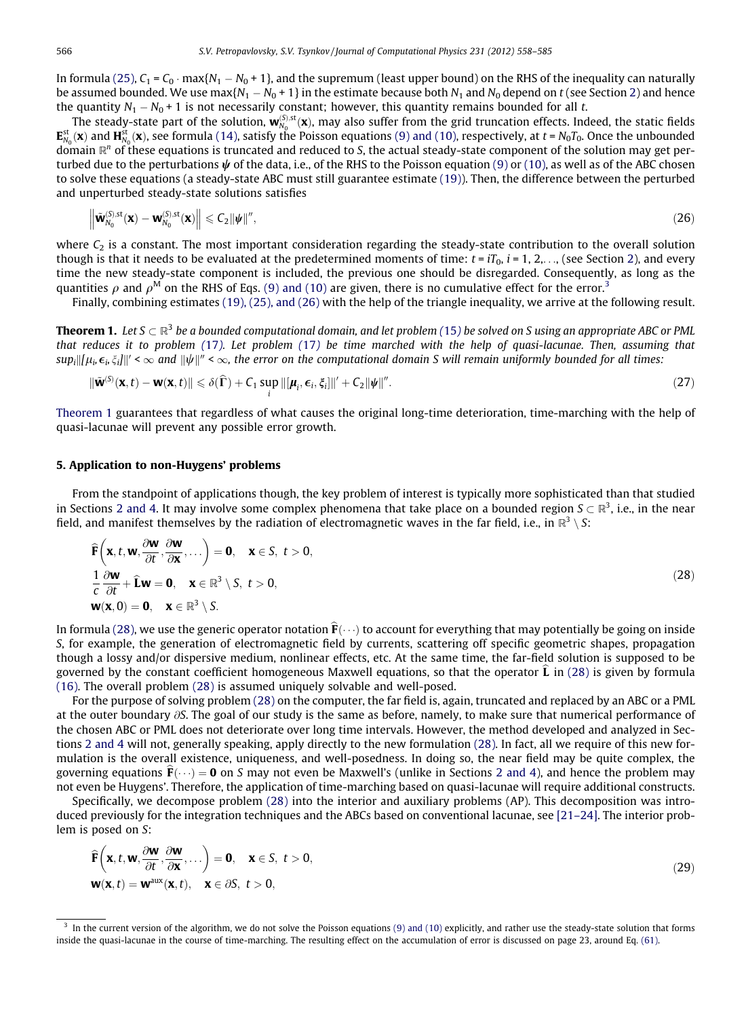<span id="page-8-0"></span>In formula [\(25\)](#page-7-0), C<sub>1</sub> = C<sub>0</sub>  $\cdot$  max{N<sub>1</sub>  $-$  N<sub>0</sub> + 1}, and the supremum (least upper bound) on the RHS of the inequality can naturally be assumed bounded. We use max{N<sub>1</sub>  $-$  N<sub>0</sub> + 1} in the estimate because both N<sub>1</sub> and N<sub>0</sub> depend on t (see Section 2) and hence the quantity  $N_1 - N_0 + 1$  is not necessarily constant; however, this quantity remains bounded for all t.

The steady-state part of the solution,  $w_{N_0}^{(S),st}({\bf x})$ , may also suffer from the grid truncation effects. Indeed, the static fields  $E_{N_0}^{\rm st}({\bf x})$  and  ${\bf H}_{N_0}^{\rm st}({\bf x})$ , see formula [\(14\)](#page-5-0), satisfy the Poisson equations [\(9\) and \(10\)](#page-4-0), respectively, at  $t$  = N<sub>0</sub>T<sub>0</sub>. Once the unbounded domain  $\mathbb{R}^n$  of these equations is truncated and reduced to S, the actual steady-state component of the solution may get perturbed due to the perturbations  $\psi$  of the data, i.e., of the RHS to the Poisson equation [\(9\)](#page-4-0) or [\(10\)](#page-4-0), as well as of the ABC chosen to solve these equations (a steady-state ABC must still guarantee estimate [\(19\)\)](#page-7-0). Then, the difference between the perturbed and unperturbed steady-state solutions satisfies

$$
\left\| \tilde{\mathbf{W}}_{N_0}^{(S),st}(\mathbf{x}) - \mathbf{W}_{N_0}^{(S),st}(\mathbf{x}) \right\| \leqslant C_2 \|\psi\|'',\tag{26}
$$

where  $C_2$  is a constant. The most important consideration regarding the steady-state contribution to the overall solution though is that it needs to be evaluated at the predetermined moments of time:  $t = iT_0$ ,  $i = 1, 2, \ldots$ , (see Section 2), and every time the new steady-state component is included, the previous one should be disregarded. Consequently, as long as the quantities  $\rho$  and  $\rho^M$  on the RHS of Eqs. [\(9\) and \(10\)](#page-4-0) are given, there is no cumulative effect for the error.<sup>3</sup>

Finally, combining estimates [\(19\), \(25\), and \(26\)](#page-7-0) with the help of the triangle inequality, we arrive at the following result.

**Theorem 1.** Let  $S \subset \mathbb{R}^3$  be a bounded computational domain, and let problem ([15](#page-6-0)) be solved on S using an appropriate ABC or PML that reduces it to problem ([17](#page-6-0)). Let problem ([17](#page-6-0)) be time marched with the help of quasi-lacunae. Then, assuming that sup $_{i}$ ||[ $\mu_{i}$ ,  $\epsilon_{i}$ , $\zeta_{i}$ ]|' <  $\infty$  and  $\|\psi\|''$  <  $\infty$ , the error on the computational domain S will remain uniformly bounded for all times:

$$
\|\tilde{\mathbf{W}}^{(S)}(\mathbf{x},t) - \mathbf{W}(\mathbf{x},t)\| \leq \delta(\widehat{\mathbf{\Gamma}}) + C_1 \sup_i \|[{\boldsymbol{\mu}}_i, {\boldsymbol{\epsilon}}_i, \xi_i]\|' + C_2 \|\psi\|''.
$$
\n(27)

Theorem 1 guarantees that regardless of what causes the original long-time deterioration, time-marching with the help of quasi-lacunae will prevent any possible error growth.

## 5. Application to non-Huygens' problems

From the standpoint of applications though, the key problem of interest is typically more sophisticated than that studied in Sections 2 and 4. It may involve some complex phenomena that take place on a bounded region  $S \subset \mathbb{R}^3$ , i.e., in the near field, and manifest themselves by the radiation of electromagnetic waves in the far field, i.e., in  $\mathbb{R}^3 \setminus S$ :

$$
\widehat{\mathbf{F}}\left(\mathbf{x}, t, \mathbf{w}, \frac{\partial \mathbf{w}}{\partial t}, \frac{\partial \mathbf{w}}{\partial \mathbf{x}}, \dots\right) = \mathbf{0}, \quad \mathbf{x} \in S, \ t > 0,\n\frac{1}{c} \frac{\partial \mathbf{w}}{\partial t} + \widehat{\mathbf{L}} \mathbf{w} = \mathbf{0}, \quad \mathbf{x} \in \mathbb{R}^3 \setminus S, \ t > 0,\n\mathbf{w}(\mathbf{x}, 0) = \mathbf{0}, \quad \mathbf{x} \in \mathbb{R}^3 \setminus S.
$$
\n(28)

In formula (28), we use the generic operator notation  $\hat{F}(\cdots)$  to account for everything that may potentially be going on inside S, for example, the generation of electromagnetic field by currents, scattering off specific geometric shapes, propagation though a lossy and/or dispersive medium, nonlinear effects, etc. At the same time, the far-field solution is supposed to be governed by the constant coefficient homogeneous Maxwell equations, so that the operator  $\hat{L}$  in (28) is given by formula [\(16\).](#page-6-0) The overall problem (28) is assumed uniquely solvable and well-posed.

For the purpose of solving problem (28) on the computer, the far field is, again, truncated and replaced by an ABC or a PML at the outer boundary  $\partial S$ . The goal of our study is the same as before, namely, to make sure that numerical performance of the chosen ABC or PML does not deteriorate over long time intervals. However, the method developed and analyzed in Sections 2 and 4 will not, generally speaking, apply directly to the new formulation (28). In fact, all we require of this new formulation is the overall existence, uniqueness, and well-posedness. In doing so, the near field may be quite complex, the governing equations  $\hat{\mathbf{F}}(\cdot \cdot \cdot) = \mathbf{0}$  on S may not even be Maxwell's (unlike in Sections 2 and 4), and hence the problem may not even be Huygens'. Therefore, the application of time-marching based on quasi-lacunae will require additional constructs.

Specifically, we decompose problem (28) into the interior and auxiliary problems (AP). This decomposition was introduced previously for the integration techniques and the ABCs based on conventional lacunae, see [\[21–24\]](#page-26-0). The interior problem is posed on S:

$$
\widehat{\mathbf{F}}\left(\mathbf{x},t,\mathbf{w},\frac{\partial \mathbf{w}}{\partial t},\frac{\partial \mathbf{w}}{\partial \mathbf{x}},\dots\right) = \mathbf{0}, \quad \mathbf{x} \in S, \ t > 0,
$$
\n
$$
\mathbf{w}(\mathbf{x},t) = \mathbf{w}^{\text{aux}}(\mathbf{x},t), \quad \mathbf{x} \in \partial S, \ t > 0,
$$
\n(29)

<sup>&</sup>lt;sup>3</sup> In the current version of the algorithm, we do not solve the Poisson equations [\(9\) and \(10\)](#page-4-0) explicitly, and rather use the steady-state solution that forms inside the quasi-lacunae in the course of time-marching. The resulting effect on the accumulation of error is discussed on page 23, around Eq. [\(61\)](#page-16-0).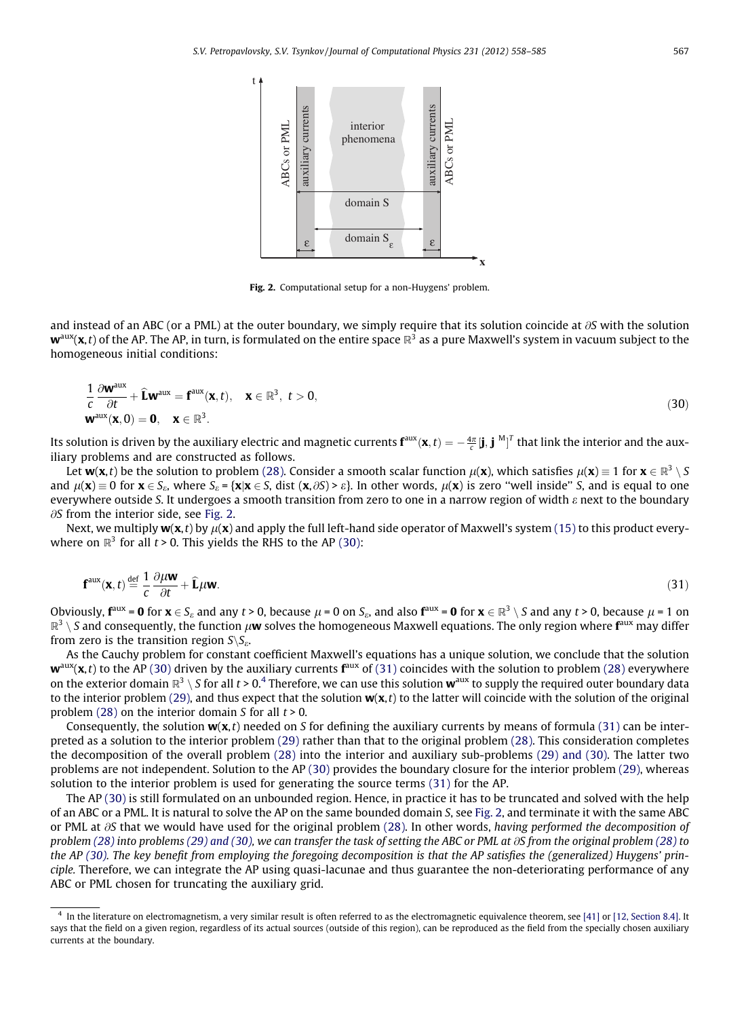<span id="page-9-0"></span>

Fig. 2. Computational setup for a non-Huygens' problem.

and instead of an ABC (or a PML) at the outer boundary, we simply require that its solution coincide at  $\partial S$  with the solution  $\mathbf{w}^{\text{aux}}(\mathbf{x},t)$  of the AP. The AP, in turn, is formulated on the entire space  $\mathbb{R}^3$  as a pure Maxwell's system in vacuum subject to the homogeneous initial conditions:

$$
\frac{1}{c} \frac{\partial \mathbf{w}^{\text{aux}}}{\partial t} + \hat{\mathbf{L}} \mathbf{w}^{\text{aux}} = \mathbf{f}^{\text{aux}}(\mathbf{x}, t), \quad \mathbf{x} \in \mathbb{R}^3, \ t > 0,
$$
\n
$$
\mathbf{w}^{\text{aux}}(\mathbf{x}, 0) = \mathbf{0}, \quad \mathbf{x} \in \mathbb{R}^3.
$$
\n(30)

Its solution is driven by the auxiliary electric and magnetic currents  ${\bf f}^{\rm aux}({\bf x},t)=-\frac{4\pi}{c}[{\bf j},{\bf j}^{\rm ~M}]^T$  that link the interior and the auxiliary problems and are constructed as follows.

Let  $w(x,t)$  be the solution to problem [\(28\)](#page-8-0). Consider a smooth scalar function  $\mu(x)$ , which satisfies  $\mu(x) \equiv 1$  for  $x \in \mathbb{R}^3 \setminus S$ and  $\mu(\mathbf{x}) \equiv 0$  for  $\mathbf{x} \in S_{\varepsilon}$ , where  $S_{\varepsilon} = {\mathbf{x} | \mathbf{x} \in S}$ , dist  $(\mathbf{x}, \partial S) > \varepsilon$ . In other words,  $\mu(\mathbf{x})$  is zero "well inside" S, and is equal to one everywhere outside S. It undergoes a smooth transition from zero to one in a narrow region of width e next to the boundary  $\partial S$  from the interior side, see Fig. 2.

Next, we multiply  $w(x, t)$  by  $\mu(x)$  and apply the full left-hand side operator of Maxwell's system [\(15\)](#page-6-0) to this product everywhere on  $\mathbb{R}^3$  for all  $t > 0$ . This yields the RHS to the AP (30):

$$
\mathbf{f}^{\text{aux}}(\mathbf{x},t) \stackrel{\text{def}}{=} \frac{1}{c} \frac{\partial \mu \mathbf{w}}{\partial t} + \hat{\mathbf{L}} \mu \mathbf{w}.
$$
 (31)

Obviously,  $f^{aux}$  = 0 for  $x \in S_{\varepsilon}$  and any  $t > 0$ , because  $\mu$  = 0 on  $S_{\varepsilon}$ , and also  $f^{aux}$  = 0 for  $x \in \mathbb{R}^3 \setminus S$  and any  $t > 0$ , because  $\mu$  = 1 on  $\R^3\setminus S$  and consequently, the function  $\mu$ **w** solves the homogeneous Maxwell equations. The only region where  ${\bf f}^{\rm aux}$  may differ from zero is the transition region  $S\backslash S_{\varepsilon}$ .

As the Cauchy problem for constant coefficient Maxwell's equations has a unique solution, we conclude that the solution  $w^{aux}(x, t)$  to the AP (30) driven by the auxiliary currents  $f^{aux}$  of (31) coincides with the solution to problem [\(28\)](#page-8-0) everywhere on the exterior domain  $\mathbb{R}^3 \setminus S$  for all t > 0.<sup>4</sup> Therefore, we can use this solution w<sup>aux</sup> to supply the required outer boundary data to the interior problem [\(29\),](#page-8-0) and thus expect that the solution  $w(x, t)$  to the latter will coincide with the solution of the original problem [\(28\)](#page-8-0) on the interior domain S for all  $t > 0$ .

Consequently, the solution  $w(x, t)$  needed on S for defining the auxiliary currents by means of formula (31) can be interpreted as a solution to the interior problem [\(29\)](#page-8-0) rather than that to the original problem [\(28\).](#page-8-0) This consideration completes the decomposition of the overall problem [\(28\)](#page-8-0) into the interior and auxiliary sub-problems [\(29\) and \(30\)](#page-8-0). The latter two problems are not independent. Solution to the AP (30) provides the boundary closure for the interior problem [\(29\)](#page-8-0), whereas solution to the interior problem is used for generating the source terms (31) for the AP.

The AP (30) is still formulated on an unbounded region. Hence, in practice it has to be truncated and solved with the help of an ABC or a PML. It is natural to solve the AP on the same bounded domain S, see Fig. 2, and terminate it with the same ABC or PML at  $\partial S$  that we would have used for the original problem [\(28\).](#page-8-0) In other words, having performed the decomposition of problem [\(28\)](#page-8-0) into problems [\(29\) and \(30\)](#page-8-0), we can transfer the task of setting the ABC or PML at  $\partial S$  from the original problem (28) to the AP (30). The key benefit from employing the foregoing decomposition is that the AP satisfies the (generalized) Huygens' principle. Therefore, we can integrate the AP using quasi-lacunae and thus guarantee the non-deteriorating performance of any ABC or PML chosen for truncating the auxiliary grid.

<sup>&</sup>lt;sup>4</sup> In the literature on electromagnetism, a very similar result is often referred to as the electromagnetic equivalence theorem, see [\[41\]](#page-26-0) or [\[12, Section 8.4\]](#page-26-0). It says that the field on a given region, regardless of its actual sources (outside of this region), can be reproduced as the field from the specially chosen auxiliary currents at the boundary.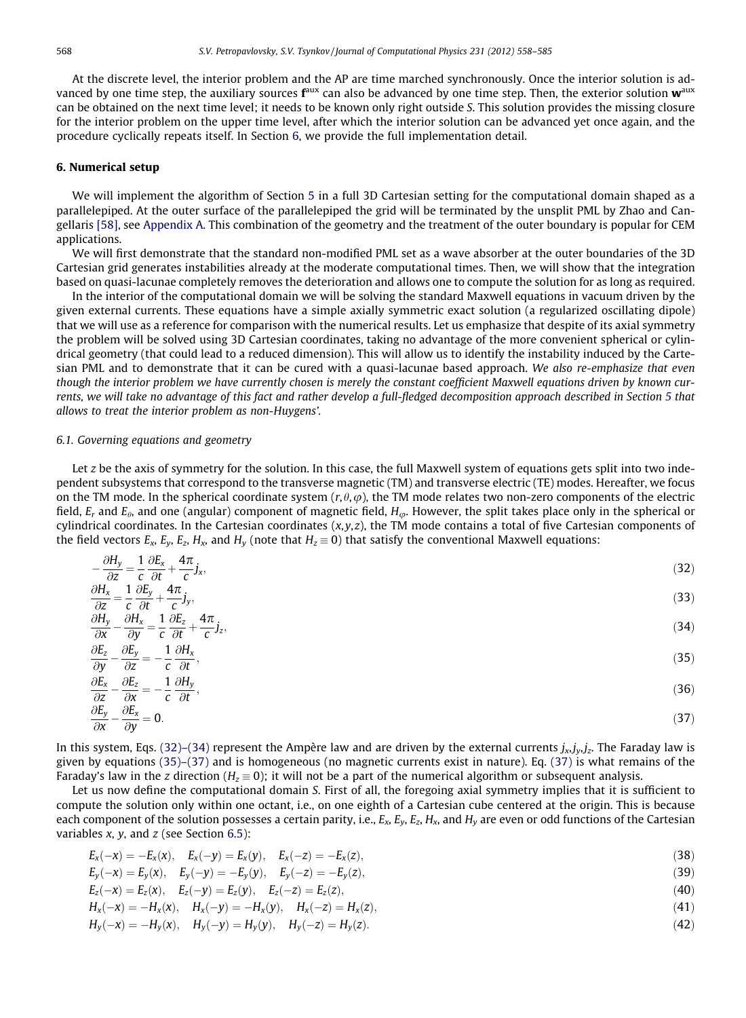<span id="page-10-0"></span>At the discrete level, the interior problem and the AP are time marched synchronously. Once the interior solution is advanced by one time step, the auxiliary sources  ${\bf f}^{\rm aux}$  can also be advanced by one time step. Then, the exterior solution  ${\bf w}^{\rm aux}$ can be obtained on the next time level; it needs to be known only right outside S. This solution provides the missing closure for the interior problem on the upper time level, after which the interior solution can be advanced yet once again, and the procedure cyclically repeats itself. In Section 6, we provide the full implementation detail.

## 6. Numerical setup

We will implement the algorithm of Section 5 in a full 3D Cartesian setting for the computational domain shaped as a parallelepiped. At the outer surface of the parallelepiped the grid will be terminated by the unsplit PML by Zhao and Cangellaris [\[58\]](#page-27-0), see Appendix A. This combination of the geometry and the treatment of the outer boundary is popular for CEM applications.

We will first demonstrate that the standard non-modified PML set as a wave absorber at the outer boundaries of the 3D Cartesian grid generates instabilities already at the moderate computational times. Then, we will show that the integration based on quasi-lacunae completely removes the deterioration and allows one to compute the solution for as long as required.

In the interior of the computational domain we will be solving the standard Maxwell equations in vacuum driven by the given external currents. These equations have a simple axially symmetric exact solution (a regularized oscillating dipole) that we will use as a reference for comparison with the numerical results. Let us emphasize that despite of its axial symmetry the problem will be solved using 3D Cartesian coordinates, taking no advantage of the more convenient spherical or cylindrical geometry (that could lead to a reduced dimension). This will allow us to identify the instability induced by the Cartesian PML and to demonstrate that it can be cured with a quasi-lacunae based approach. We also re-emphasize that even though the interior problem we have currently chosen is merely the constant coefficient Maxwell equations driven by known currents, we will take no advantage of this fact and rather develop a full-fledged decomposition approach described in Section 5 that allows to treat the interior problem as non-Huygens'.

## 6.1. Governing equations and geometry

Let z be the axis of symmetry for the solution. In this case, the full Maxwell system of equations gets split into two independent subsystems that correspond to the transverse magnetic (TM) and transverse electric (TE) modes. Hereafter, we focus on the TM mode. In the spherical coordinate system  $(r,\theta,\varphi)$ , the TM mode relates two non-zero components of the electric field,  $E_r$  and  $E_\theta$ , and one (angular) component of magnetic field,  $H_\omega$ . However, the split takes place only in the spherical or cylindrical coordinates. In the Cartesian coordinates  $(x, y, z)$ , the TM mode contains a total of five Cartesian components of the field vectors  $E_x$ ,  $E_y$ ,  $E_z$ ,  $H_x$ , and  $H_y$  (note that  $H_z \equiv 0$ ) that satisfy the conventional Maxwell equations:

$$
-\frac{\partial H_y}{\partial z} = \frac{1}{c} \frac{\partial E_x}{\partial t} + \frac{4\pi}{c} j_x,\tag{32}
$$

$$
\frac{\partial H_x}{\partial z} = \frac{1}{c} \frac{\partial E_y}{\partial t} + \frac{4\pi}{c} j_y,
$$
  
\n
$$
\frac{\partial H_x}{\partial t} = \frac{1}{c} \frac{\partial E_y}{\partial t} + \frac{4\pi}{c} j_y,
$$
\n(33)

$$
\frac{\partial H_y}{\partial x} - \frac{\partial H_x}{\partial y} = \frac{1}{c} \frac{\partial E_z}{\partial t} + \frac{4\pi}{c} j_z,
$$
\n(34)  
\n
$$
\frac{\partial E_z}{\partial z} - \frac{\partial E_y}{\partial z} = -\frac{1}{c} \frac{\partial H_x}{\partial x}.
$$

$$
\frac{\partial z_z}{\partial y} - \frac{\partial z_y}{\partial z} = -\frac{1}{c} \frac{\partial z_x}{\partial t},
$$
\n
$$
\frac{\partial E_x}{\partial z} - \frac{\partial E_z}{\partial x} = -\frac{1}{c} \frac{\partial H_y}{\partial t},
$$
\n
$$
\frac{\partial E_y}{\partial x} - \frac{\partial E_x}{\partial y} = 0.
$$
\n(35)

In this system, Eqs. (32)–(34) represent the Ampère law and are driven by the external currents  $j_x, j_y, j_z$ . The Faraday law is given by equations (35)–(37) and is homogeneous (no magnetic currents exist in nature). Eq. (37) is what remains of the Faraday's law in the z direction ( $H_z \equiv 0$ ); it will not be a part of the numerical algorithm or subsequent analysis.

Let us now define the computational domain S. First of all, the foregoing axial symmetry implies that it is sufficient to compute the solution only within one octant, i.e., on one eighth of a Cartesian cube centered at the origin. This is because each component of the solution possesses a certain parity, i.e.,  $E_x$ ,  $E_y$ ,  $E_z$ ,  $H_x$ , and  $H_y$  are even or odd functions of the Cartesian variables  $x$ ,  $y$ , and  $z$  (see Section 6.5):

$$
E_x(-x) = -E_x(x), \quad E_x(-y) = E_x(y), \quad E_x(-z) = -E_x(z), \tag{38}
$$

$$
E_y(-x) = E_y(x), \quad E_y(-y) = -E_y(y), \quad E_y(-z) = -E_y(z), \tag{39}
$$

$$
E_z(-x) = E_z(x), \quad E_z(-y) = E_z(y), \quad E_z(-z) = E_z(z), \tag{40}
$$

$$
H_x(-x) = -H_x(x), \quad H_x(-y) = -H_x(y), \quad H_x(-z) = H_x(z),
$$
  
\n
$$
H_y(-x) = -H_y(x), \quad H_y(-y) = H_y(y), \quad H_y(-z) = H_y(z).
$$
\n(41)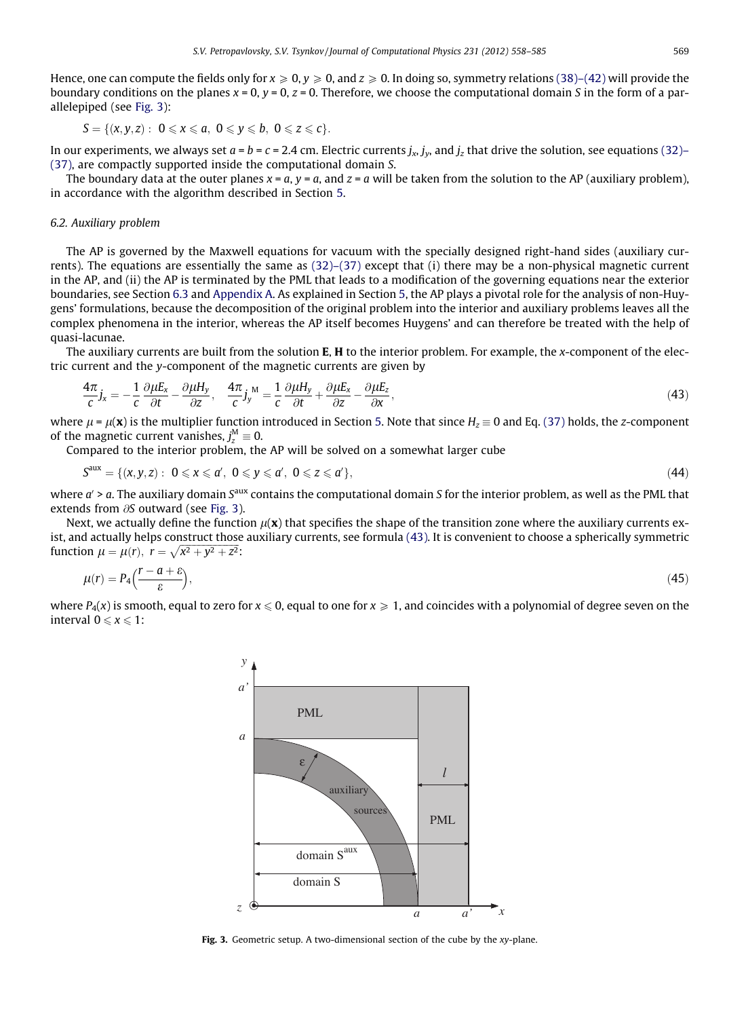<span id="page-11-0"></span>Hence, one can compute the fields only for  $x \ge 0$ ,  $y \ge 0$ , and  $z \ge 0$ . In doing so, symmetry relations [\(38\)–\(42\)](#page-10-0) will provide the boundary conditions on the planes  $x = 0$ ,  $y = 0$ ,  $z = 0$ . Therefore, we choose the computational domain S in the form of a parallelepiped (see Fig. 3):

$$
S = \{(x,y,z): 0 \leqslant x \leqslant a, 0 \leqslant y \leqslant b, 0 \leqslant z \leqslant c\}.
$$

In our experiments, we always set  $a = b = c = 2.4$  cm. Electric currents  $j_x, j_y$ , and  $j_z$  that drive the solution, see equations [\(32\)–](#page-10-0) [\(37\)](#page-10-0), are compactly supported inside the computational domain S.

The boundary data at the outer planes  $x = a$ ,  $y = a$ , and  $z = a$  will be taken from the solution to the AP (auxiliary problem), in accordance with the algorithm described in Section 5.

#### 6.2. Auxiliary problem

The AP is governed by the Maxwell equations for vacuum with the specially designed right-hand sides (auxiliary currents). The equations are essentially the same as [\(32\)–\(37\)](#page-10-0) except that (i) there may be a non-physical magnetic current in the AP, and (ii) the AP is terminated by the PML that leads to a modification of the governing equations near the exterior boundaries, see Section 6.3 and Appendix A. As explained in Section 5, the AP plays a pivotal role for the analysis of non-Huygens' formulations, because the decomposition of the original problem into the interior and auxiliary problems leaves all the complex phenomena in the interior, whereas the AP itself becomes Huygens' and can therefore be treated with the help of quasi-lacunae.

The auxiliary currents are built from the solution E, H to the interior problem. For example, the x-component of the electric current and the y-component of the magnetic currents are given by

$$
\frac{4\pi}{c}j_x = -\frac{1}{c}\frac{\partial\mu E_x}{\partial t} - \frac{\partial\mu H_y}{\partial z}, \quad \frac{4\pi}{c}j_y = \frac{1}{c}\frac{\partial\mu H_y}{\partial t} + \frac{\partial\mu E_x}{\partial z} - \frac{\partial\mu E_z}{\partial x},\tag{43}
$$

where  $\mu = \mu(\mathbf{x})$  is the multiplier function introduced in Section 5. Note that since  $H_z \equiv 0$  and Eq. (37) holds, the z-component of the magnetic current vanishes,  $j_z^{\text{M}}\equiv 0.$ 

Compared to the interior problem, the AP will be solved on a somewhat larger cube

$$
Saux = \{ (x, y, z) : 0 \leq x \leq a', 0 \leq y \leq a', 0 \leq z \leq a' \},
$$
\n
$$
(44)
$$

where  $a'$  >  $a$ . The auxiliary domain  $S^{aux}$  contains the computational domain  $S$  for the interior problem, as well as the PML that extends from  $\partial S$  outward (see Fig. 3).

Next, we actually define the function  $\mu(x)$  that specifies the shape of the transition zone where the auxiliary currents exist, and actually helps construct those auxiliary currents, see formula (43). It is convenient to choose a spherically symmetric function  $\mu = \mu(r)$ ,  $r = \sqrt{x^2 + y^2 + z^2}$ :

$$
\mu(r) = P_4 \left( \frac{r - a + \varepsilon}{\varepsilon} \right),\tag{45}
$$

where  $P_4(x)$  is smooth, equal to zero for  $x \le 0$ , equal to one for  $x \ge 1$ , and coincides with a polynomial of degree seven on the interval  $0 \le x \le 1$ :



Fig. 3. Geometric setup. A two-dimensional section of the cube by the  $xy$ -plane.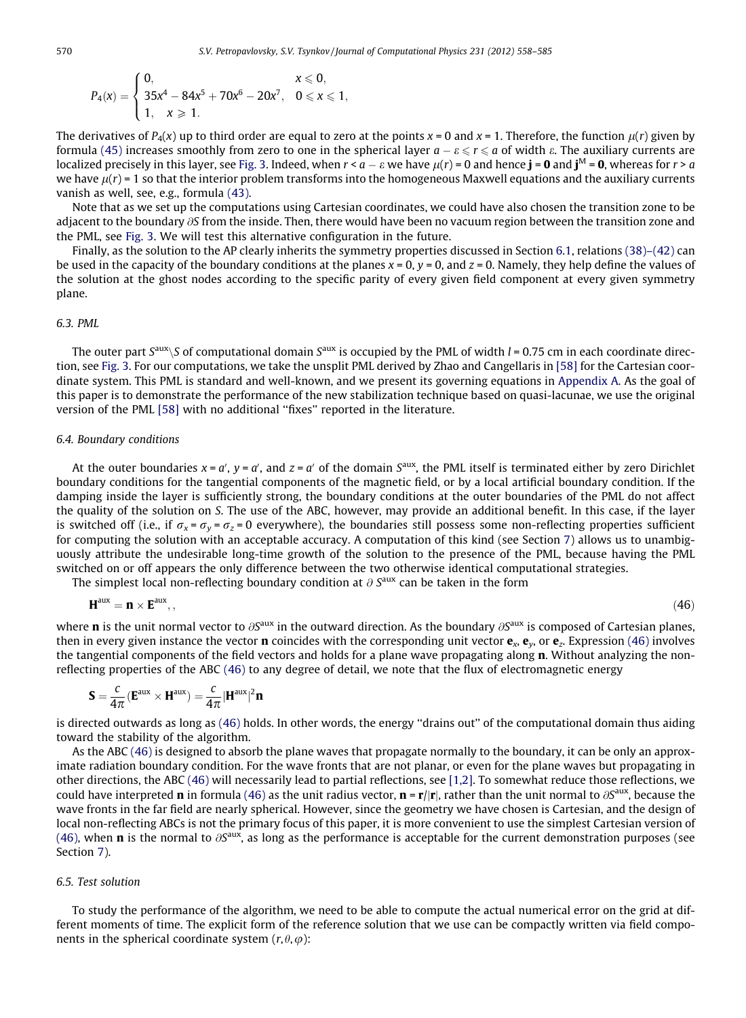<span id="page-12-0"></span>
$$
P_4(x)=\left\{\begin{aligned} &0, & x\leqslant 0, \\ &35x^4-84x^5+70x^6-20x^7, & 0\leqslant x\leqslant 1, \\ &1, & x\geqslant 1. \end{aligned}\right.
$$

The derivatives of  $P_4(x)$  up to third order are equal to zero at the points  $x = 0$  and  $x = 1$ . Therefore, the function  $\mu(r)$  given by formula [\(45\)](#page-11-0) increases smoothly from zero to one in the spherical layer  $a - \epsilon \leqslant r \leqslant a$  of width  $\epsilon$ . The auxiliary currents are localized precisely in this layer, see [Fig. 3](#page-11-0). Indeed, when  $r$  <  $a$  –  $\varepsilon$  we have  $\mu(r)$  = 0 and hence  $\mathbf{j}$  = 0 and  $\mathbf{j}^\mathsf{M}$  = 0, whereas for  $r$  >  $a$ we have  $\mu(r)$  = 1 so that the interior problem transforms into the homogeneous Maxwell equations and the auxiliary currents vanish as well, see, e.g., formula [\(43\).](#page-11-0)

Note that as we set up the computations using Cartesian coordinates, we could have also chosen the transition zone to be adjacent to the boundary  $\partial S$  from the inside. Then, there would have been no vacuum region between the transition zone and the PML, see [Fig. 3](#page-11-0). We will test this alternative configuration in the future.

Finally, as the solution to the AP clearly inherits the symmetry properties discussed in Section 6.1, relations [\(38\)–\(42\)](#page-10-0) can be used in the capacity of the boundary conditions at the planes  $x = 0$ ,  $y = 0$ , and  $z = 0$ . Namely, they help define the values of the solution at the ghost nodes according to the specific parity of every given field component at every given symmetry plane.

## 6.3. PML

The outer part  $S^{aux}\$  of computational domain  $S^{aux}$  is occupied by the PML of width  $l$  = 0.75 cm in each coordinate direction, see [Fig. 3](#page-11-0). For our computations, we take the unsplit PML derived by Zhao and Cangellaris in [\[58\]](#page-27-0) for the Cartesian coordinate system. This PML is standard and well-known, and we present its governing equations in Appendix A. As the goal of this paper is to demonstrate the performance of the new stabilization technique based on quasi-lacunae, we use the original version of the PML [\[58\]](#page-27-0) with no additional "fixes" reported in the literature.

## 6.4. Boundary conditions

At the outer boundaries  $x = a'$ ,  $y = a'$ , and  $z = a'$  of the domain  $S^{aux}$ , the PML itself is terminated either by zero Dirichlet boundary conditions for the tangential components of the magnetic field, or by a local artificial boundary condition. If the damping inside the layer is sufficiently strong, the boundary conditions at the outer boundaries of the PML do not affect the quality of the solution on S. The use of the ABC, however, may provide an additional benefit. In this case, if the layer is switched off (i.e., if  $\sigma_y = \sigma_z = \sigma_z = 0$  everywhere), the boundaries still possess some non-reflecting properties sufficient for computing the solution with an acceptable accuracy. A computation of this kind (see Section 7) allows us to unambiguously attribute the undesirable long-time growth of the solution to the presence of the PML, because having the PML switched on or off appears the only difference between the two otherwise identical computational strategies.

The simplest local non-reflecting boundary condition at  $\partial S^{\text{aux}}$  can be taken in the form

$$
\mathbf{H}^{\text{aux}} = \mathbf{n} \times \mathbf{E}^{\text{aux}},\tag{46}
$$

where **n** is the unit normal vector to  $\partial S^{aux}$  in the outward direction. As the boundary  $\partial S^{aux}$  is composed of Cartesian planes, then in every given instance the vector **n** coincides with the corresponding unit vector  $\mathbf{e}_x$ ,  $\mathbf{e}_y$ , or  $\mathbf{e}_z$ . Expression (46) involves the tangential components of the field vectors and holds for a plane wave propagating along n. Without analyzing the nonreflecting properties of the ABC (46) to any degree of detail, we note that the flux of electromagnetic energy

$$
\mathbf{S} = \frac{c}{4\pi} (\mathbf{E}^{\text{aux}} \times \mathbf{H}^{\text{aux}}) = \frac{c}{4\pi} |\mathbf{H}^{\text{aux}}|^2 \mathbf{n}
$$

is directed outwards as long as (46) holds. In other words, the energy ''drains out'' of the computational domain thus aiding toward the stability of the algorithm.

As the ABC (46) is designed to absorb the plane waves that propagate normally to the boundary, it can be only an approximate radiation boundary condition. For the wave fronts that are not planar, or even for the plane waves but propagating in other directions, the ABC (46) will necessarily lead to partial reflections, see [\[1,2\]](#page-25-0). To somewhat reduce those reflections, we could have interpreted **n** in formula (46) as the unit radius vector,  $\mathbf{n} = \mathbf{r}/|\mathbf{r}|$ , rather than the unit normal to  $\partial S^{\text{aux}}$ , because the wave fronts in the far field are nearly spherical. However, since the geometry we have chosen is Cartesian, and the design of local non-reflecting ABCs is not the primary focus of this paper, it is more convenient to use the simplest Cartesian version of (46), when **n** is the normal to  $\partial S^{aux}$ , as long as the performance is acceptable for the current demonstration purposes (see Section 7).

### 6.5. Test solution

To study the performance of the algorithm, we need to be able to compute the actual numerical error on the grid at different moments of time. The explicit form of the reference solution that we use can be compactly written via field components in the spherical coordinate system  $(r, \theta, \varphi)$ :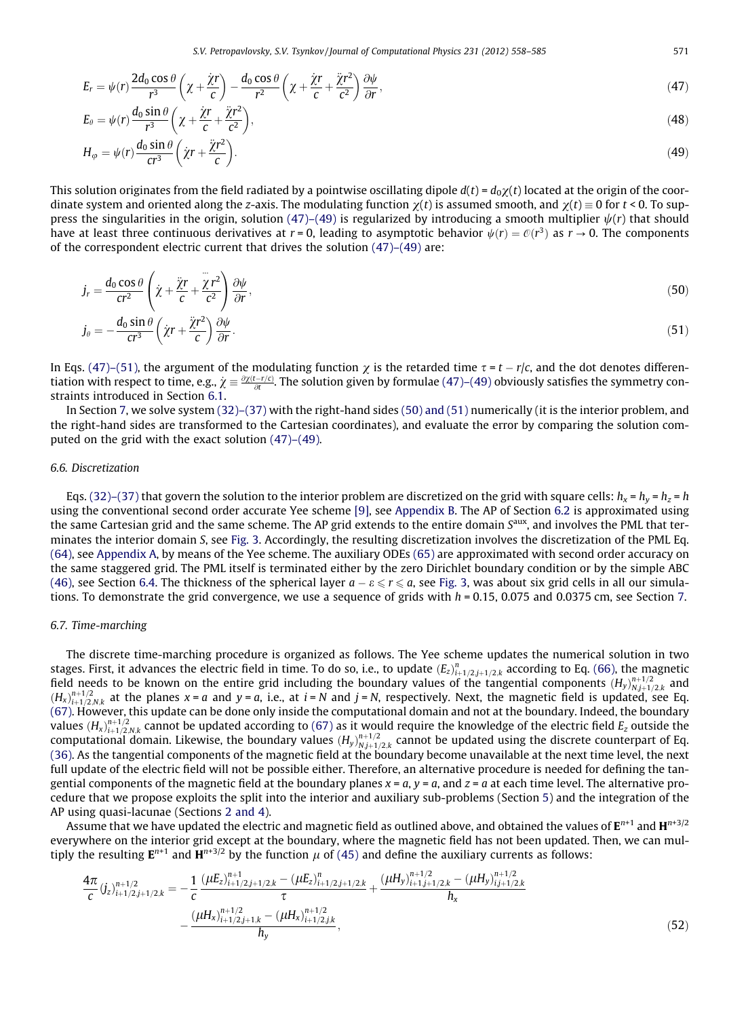S.V. Petropavlovsky, S.V. Tsynkov / Journal of Computational Physics 231 (2012) 558–585 571

<span id="page-13-0"></span>
$$
E_r = \psi(r) \frac{2d_0 \cos \theta}{r^3} \left( \chi + \frac{\dot{\chi}r}{c} \right) - \frac{d_0 \cos \theta}{r^2} \left( \chi + \frac{\dot{\chi}r}{c} + \frac{\ddot{\chi}r^2}{c^2} \right) \frac{\partial \psi}{\partial r},\tag{47}
$$

$$
E_{\theta} = \psi(r) \frac{d_0 \sin \theta}{r^3} \left( \chi + \frac{\dot{\chi}r}{c} + \frac{\ddot{\chi}r^2}{c^2} \right),\tag{48}
$$

$$
H_{\varphi} = \psi(r) \frac{d_0 \sin \theta}{cr^3} \left( \dot{\chi}r + \frac{\ddot{\chi}r^2}{c} \right). \tag{49}
$$

This solution originates from the field radiated by a pointwise oscillating dipole  $d(t) = d_0 \chi(t)$  located at the origin of the coordinate system and oriented along the z-axis. The modulating function  $\chi(t)$  is assumed smooth, and  $\chi(t) \equiv 0$  for  $t < 0$ . To suppress the singularities in the origin, solution (47)–(49) is regularized by introducing a smooth multiplier  $\psi(r)$  that should have at least three continuous derivatives at  $r = 0$ , leading to asymptotic behavior  $\psi(r) = \mathcal{O}(r^3)$  as  $r \to 0$ . The components of the correspondent electric current that drives the solution (47)–(49) are:

$$
j_r = \frac{d_0 \cos \theta}{cr^2} \left( \dot{\chi} + \frac{\ddot{\chi}r}{c} + \frac{\ddot{\chi}r^2}{c^2} \right) \frac{\partial \psi}{\partial r},\tag{50}
$$

$$
j_{\theta} = -\frac{d_0 \sin \theta}{cr^3} \left( \dot{\chi}r + \frac{\ddot{\chi}r^2}{c} \right) \frac{\partial \psi}{\partial r}.
$$
\n(51)

In Eqs. (47)–(51), the argument of the modulating function  $\chi$  is the retarded time  $\tau$  = t – r/c, and the dot denotes differentiation with respect to time, e.g.,  $\chi \equiv \frac{\partial \chi(t-r/c)}{\partial t}$ . The solution given by formulae (47)–(49) obviously satisfies the symmetry constraints introduced in Section 6.1.

In Section 7, we solve system [\(32\)–\(37\)](#page-10-0) with the right-hand sides (50) and (51) numerically (it is the interior problem, and the right-hand sides are transformed to the Cartesian coordinates), and evaluate the error by comparing the solution computed on the grid with the exact solution (47)–(49).

## 6.6. Discretization

Eqs. [\(32\)–\(37\)](#page-10-0) that govern the solution to the interior problem are discretized on the grid with square cells:  $h_x = h_y = h_z = h$ using the conventional second order accurate Yee scheme [\[9\]](#page-26-0), see Appendix B. The AP of Section 6.2 is approximated using the same Cartesian grid and the same scheme. The AP grid extends to the entire domain S<sup>aux</sup>, and involves the PML that terminates the interior domain S, see [Fig. 3.](#page-11-0) Accordingly, the resulting discretization involves the discretization of the PML Eq. [\(64\)](#page-23-0), see Appendix A, by means of the Yee scheme. The auxiliary ODEs [\(65\)](#page-23-0) are approximated with second order accuracy on the same staggered grid. The PML itself is terminated either by the zero Dirichlet boundary condition or by the simple ABC [\(46\)](#page-12-0), see Section 6.4. The thickness of the spherical layer  $a - \varepsilon \leqslant r \leqslant a$ , see [Fig. 3](#page-11-0), was about six grid cells in all our simulations. To demonstrate the grid convergence, we use a sequence of grids with  $h = 0.15$ , 0.075 and 0.0375 cm, see Section 7.

## 6.7. Time-marching

The discrete time-marching procedure is organized as follows. The Yee scheme updates the numerical solution in two stages. First, it advances the electric field in time. To do so, i.e., to update  $(E_z)_{i+1/2,j+1/2,k}^n$  according to Eq. [\(66\),](#page-24-0) the magnetic field needs to be known on the entire grid including the boundary values of the tangential components  $(H_y)_{N,j+1/2,k}^{n+1/2}$  and  $(H_x)_{i=1/2,N,k}^{n+1/2}$  at the planes  $x = a$  and  $y = a$ , i.e., at  $i = N$  and  $j = N$ , respectively. Next, the magnetic field is updated, see Eq. [\(67\)](#page-24-0). However, this update can be done only inside the computational domain and not at the boundary. Indeed, the boundary values  $(H_x)_{i+1/2,N,k}^{n+1/2}$  cannot be updated according to [\(67\)](#page-24-0) as it would require the knowledge of the electric field  $E_z$  outside the computational domain. Likewise, the boundary values  $(H_y)_{N,j+1/2,k}^{n+1/2}$  cannot be updated using the discrete counterpart of Eq. (36). As the tangential components of the magnetic field at the boundary become unavailable at the next time level, the next full update of the electric field will not be possible either. Therefore, an alternative procedure is needed for defining the tangential components of the magnetic field at the boundary planes  $x = a$ ,  $y = a$ , and  $z = a$  at each time level. The alternative procedure that we propose exploits the split into the interior and auxiliary sub-problems (Section 5) and the integration of the AP using quasi-lacunae (Sections 2 and 4).

Assume that we have updated the electric and magnetic field as outlined above, and obtained the values of  $E^{n+1}$  and  $H^{n+3/2}$ everywhere on the interior grid except at the boundary, where the magnetic field has not been updated. Then, we can multiply the resulting  $E^{n+1}$  and  $H^{n+3/2}$  by the function  $\mu$  of [\(45\)](#page-11-0) and define the auxiliary currents as follows:

$$
\frac{4\pi}{c} (j_z)_{i+1/2,j+1/2,k}^{n+1/2} = -\frac{1}{c} \frac{(\mu E_z)_{i+1/2,j+1/2,k}^{n+1} - (\mu E_z)_{i+1/2,j+1/2,k}^{n} + \frac{(\mu H_y)_{i+1,j+1/2,k}^{n+1/2} - (\mu H_y)_{i,j+1/2,k}^{n+1/2}}{h_x} - \frac{(\mu H_x)_{i+1/2,j+1,k}^{n+1/2} - (\mu H_x)_{i+1/2,j,k}^{n+1/2}}{h_y},
$$
\n(52)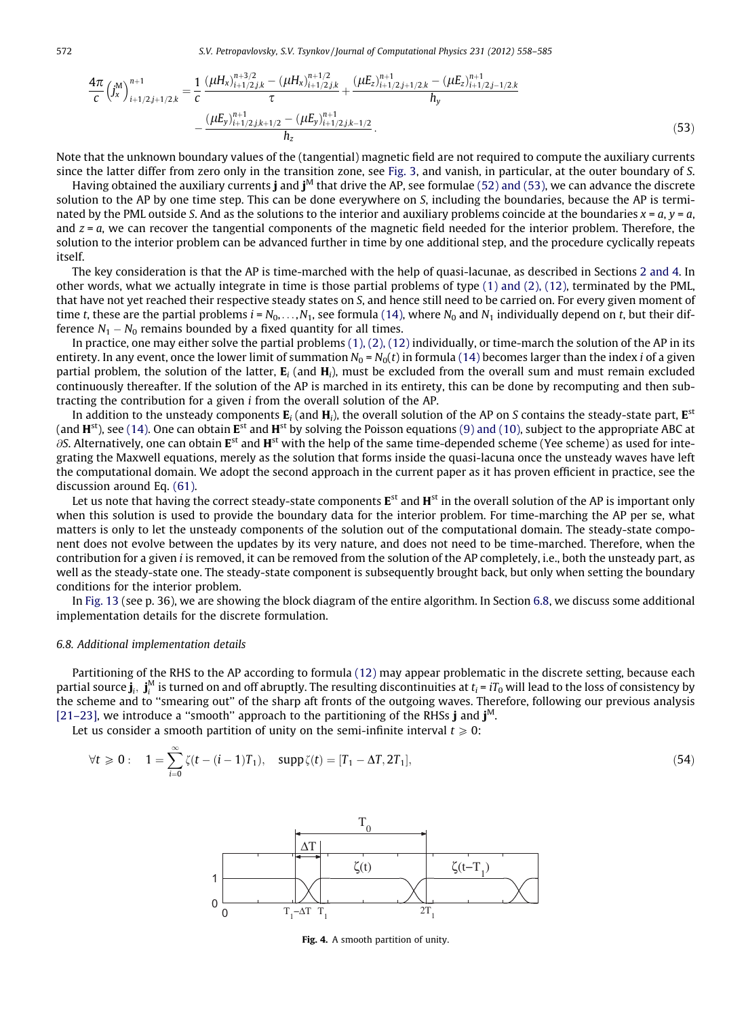<span id="page-14-0"></span>572 S.V. Petropavlovsky, S.V. Tsynkov / Journal of Computational Physics 231 (2012) 558–585

$$
\frac{4\pi}{c} \left(j_x^M\right)_{i+1/2,j+1/2,k}^{n+1} = \frac{1}{c} \frac{(\mu H_x)_{i+1/2,j,k}^{n+3/2} - (\mu H_x)_{i+1/2,j,k}^{n+1/2}}{\tau} + \frac{(\mu E_z)_{i+1/2,j+1/2,k}^{n+1} - (\mu E_z)_{i+1/2,j-1/2,k}^{n+1}}{h_y}
$$
\n
$$
-\frac{(\mu E_y)_{i+1/2,j,k+1/2}^{n+1} - (\mu E_y)_{i+1/2,j,k-1/2}^{n+1}}{h_z}.
$$
\n(53)

Note that the unknown boundary values of the (tangential) magnetic field are not required to compute the auxiliary currents since the latter differ from zero only in the transition zone, see [Fig. 3,](#page-11-0) and vanish, in particular, at the outer boundary of S.

Having obtained the auxiliary currents  ${\bf j}$  and  ${\bf j}^{\sf M}$  that drive the AP, see formulae [\(52\) and \(53\),](#page-13-0) we can advance the discrete solution to the AP by one time step. This can be done everywhere on S, including the boundaries, because the AP is terminated by the PML outside S. And as the solutions to the interior and auxiliary problems coincide at the boundaries  $x = a$ ,  $y = a$ . and  $z = a$ , we can recover the tangential components of the magnetic field needed for the interior problem. Therefore, the solution to the interior problem can be advanced further in time by one additional step, and the procedure cyclically repeats itself.

The key consideration is that the AP is time-marched with the help of quasi-lacunae, as described in Sections 2 and 4. In other words, what we actually integrate in time is those partial problems of type [\(1\) and \(2\), \(12\)](#page-3-0), terminated by the PML, that have not yet reached their respective steady states on S, and hence still need to be carried on. For every given moment of time t, these are the partial problems  $i = N_0, \ldots, N_1$ , see formula [\(14\),](#page-5-0) where  $N_0$  and  $N_1$  individually depend on t, but their difference  $N_1 - N_0$  remains bounded by a fixed quantity for all times.

In practice, one may either solve the partial problems [\(1\), \(2\), \(12\)](#page-3-0) individually, or time-march the solution of the AP in its entirety. In any event, once the lower limit of summation  $N_0 = N_0(t)$  in formula [\(14\)](#page-5-0) becomes larger than the index *i* of a given partial problem, the solution of the latter,  $E_i$  (and  $H_i$ ), must be excluded from the overall sum and must remain excluded continuously thereafter. If the solution of the AP is marched in its entirety, this can be done by recomputing and then subtracting the contribution for a given i from the overall solution of the AP.

In addition to the unsteady components  $\mathbf{E}_i$  (and  $\mathbf{H}_i$ ), the overall solution of the AP on S contains the steady-state part,  $\mathbf{E}^{st}$ (and  $H^{st}$ ), see [\(14\)](#page-5-0). One can obtain  $E^{st}$  and  $H^{st}$  by solving the Poisson equations [\(9\) and \(10\),](#page-4-0) subject to the appropriate ABC at  $\partial S$ . Alternatively, one can obtain E<sup>st</sup> and H<sup>st</sup> with the help of the same time-depended scheme (Yee scheme) as used for integrating the Maxwell equations, merely as the solution that forms inside the quasi-lacuna once the unsteady waves have left the computational domain. We adopt the second approach in the current paper as it has proven efficient in practice, see the discussion around Eq. [\(61\)](#page-16-0).

Let us note that having the correct steady-state components  $E^{st}$  and  $H^{st}$  in the overall solution of the AP is important only when this solution is used to provide the boundary data for the interior problem. For time-marching the AP per se, what matters is only to let the unsteady components of the solution out of the computational domain. The steady-state component does not evolve between the updates by its very nature, and does not need to be time-marched. Therefore, when the contribution for a given i is removed, it can be removed from the solution of the AP completely, i.e., both the unsteady part, as well as the steady-state one. The steady-state component is subsequently brought back, but only when setting the boundary conditions for the interior problem.

In [Fig. 13](#page-25-0) (see p. 36), we are showing the block diagram of the entire algorithm. In Section 6.8, we discuss some additional implementation details for the discrete formulation.

## 6.8. Additional implementation details

Partitioning of the RHS to the AP according to formula [\(12\)](#page-5-0) may appear problematic in the discrete setting, because each partial source  ${\bf j}_i,\ {\bf j}_i^{\sf M}$  is turned on and off abruptly. The resulting discontinuities at  $t_i$  = i $T_0$  will lead to the loss of consistency by the scheme and to ''smearing out'' of the sharp aft fronts of the outgoing waves. Therefore, following our previous analysis [21-23], we introduce a "smooth" approach to the partitioning of the RHSs  $j$  and  $j^M$ .

Let us consider a smooth partition of unity on the semi-infinite interval  $t \ge 0$ :

$$
\forall t \geq 0: \quad 1 = \sum_{i=0}^{\infty} \zeta(t - (i - 1)T_1), \quad \text{supp}\,\zeta(t) = [T_1 - \Delta T, 2T_1],\tag{54}
$$



Fig. 4. A smooth partition of unity.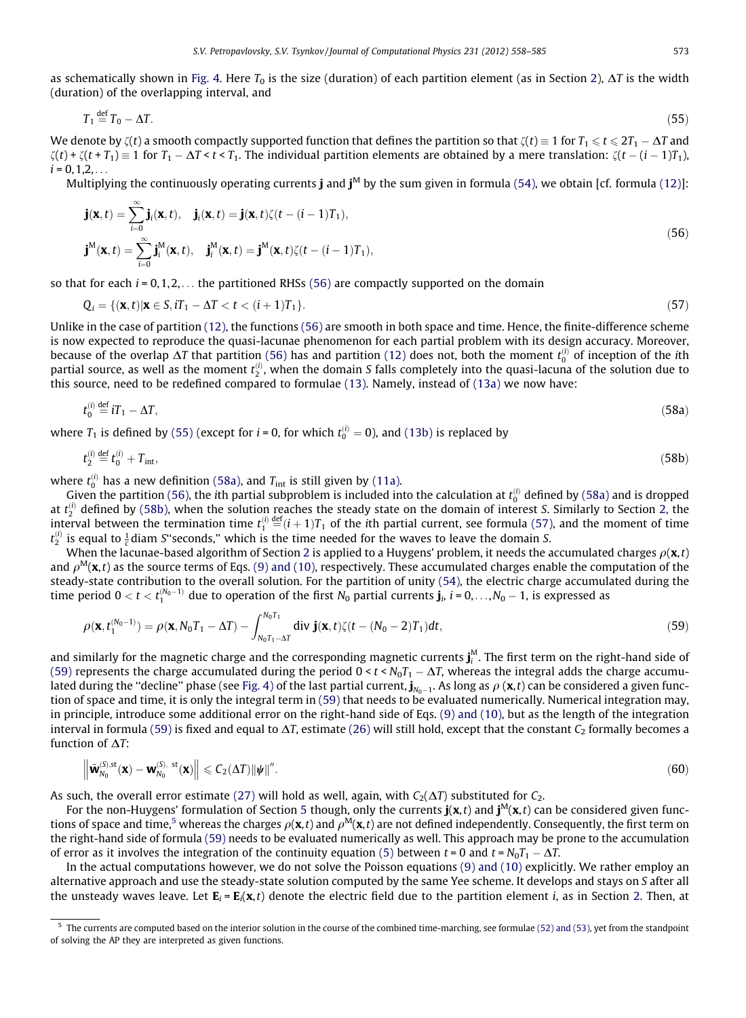<span id="page-15-0"></span>as schematically shown in [Fig. 4](#page-14-0). Here  $T_0$  is the size (duration) of each partition element (as in Section 2),  $\Delta T$  is the width (duration) of the overlapping interval, and

$$
T_1 \stackrel{\text{def}}{=} T_0 - \Delta T. \tag{55}
$$

We denote by  $\zeta(t)$  a smooth compactly supported function that defines the partition so that  $\zeta(t)\equiv 1$  for  $T_1\leqslant t\leqslant 2T_1-\Delta T$  and  $\zeta(t) + \zeta(t+T_1) \equiv 1$  for  $T_1 - \Delta T < t < T_1$ . The individual partition elements are obtained by a mere translation:  $\zeta(t-(i-1)T_1)$ ,  $i = 0, 1, 2, \ldots$ 

Multiplying the continuously operating currents **j** and **j**<sup>M</sup> by the sum given in formula [\(54\),](#page-14-0) we obtain [cf. formula [\(12\)](#page-5-0)]:

$$
\mathbf{j}(\mathbf{x},t) = \sum_{i=0}^{\infty} \mathbf{j}_i(\mathbf{x},t), \quad \mathbf{j}_i(\mathbf{x},t) = \mathbf{j}(\mathbf{x},t)\zeta(t-(i-1)T_1),
$$
  

$$
\mathbf{j}^{\mathbf{M}}(\mathbf{x},t) = \sum_{i=0}^{\infty} \mathbf{j}_i^{\mathbf{M}}(\mathbf{x},t), \quad \mathbf{j}_i^{\mathbf{M}}(\mathbf{x},t) = \mathbf{j}^{\mathbf{M}}(\mathbf{x},t)\zeta(t-(i-1)T_1),
$$
\n(56)

so that for each  $i = 0, 1, 2, \ldots$  the partitioned RHSs (56) are compactly supported on the domain

$$
Q_i = \{(\mathbf{x}, t) | \mathbf{x} \in S, iT_1 - \Delta T < t < (i+1)T_1\}.\tag{57}
$$

Unlike in the case of partition [\(12\),](#page-5-0) the functions (56) are smooth in both space and time. Hence, the finite-difference scheme is now expected to reproduce the quasi-lacunae phenomenon for each partial problem with its design accuracy. Moreover, because of the overlap  $\Delta T$  that partition (56) has and partition [\(12\)](#page-5-0) does not, both the moment  $t_0^{(i)}$  of inception of the *i*th partial source, as well as the moment  $t_2^{(i)}$ , when the domain S falls completely into the quasi-lacuna of the solution due to this source, need to be redefined compared to formulae [\(13\)](#page-5-0). Namely, instead of [\(13a\)](#page-5-0) we now have:

$$
t_0^{(i)} \stackrel{\text{def}}{=} iT_1 - \Delta T,\tag{58a}
$$

where  $T_1$  is defined by (55) (except for  $i$  = 0, for which  $t_0^{(i)} = 0$ ), and [\(13b\)](#page-5-0) is replaced by

$$
t_2^{(i)} \stackrel{\text{def}}{=} t_0^{(i)} + T_{\text{int}}, \tag{58b}
$$

where  $t_0^{(i)}$  has a new definition (58a), and  $T_{\rm int}$  is still given by [\(11a\).](#page-5-0)

Given the partition (56), the ith partial subproblem is included into the calculation at  $t_0^{(i)}$  defined by (58a) and is dropped at  $t_2^{(i)}$  defined by (58b), when the solution reaches the steady state on the domain of interest S. Similarly to Section 2, the interval between the termination time  $t_1^{(i)}\frac{def}{i}(i+1)T_1$  of the ith partial current, see formula (57), and the moment of time  $t_2^{(i)}$  is equal to  $\frac{1}{c}$ diam S"seconds," which is the time needed for the waves to leave the domain S.

When the lacunae-based algorithm of Section 2 is applied to a Huygens' problem, it needs the accumulated charges  $\rho(\mathbf{x},t)$ and  $\rho^{M}(\mathbf{x},t)$  as the source terms of Eqs. [\(9\) and \(10\),](#page-4-0) respectively. These accumulated charges enable the computation of the steady-state contribution to the overall solution. For the partition of unity [\(54\),](#page-14-0) the electric charge accumulated during the time period  $0 < t < t_1^{(N_0-1)}$  due to operation of the first  $N_0$  partial currents  ${\bf j}_i$ ,  $i=0,\ldots,N_0-1,$  is expressed as

$$
\rho(\mathbf{x}, t_1^{(N_0-1)}) = \rho(\mathbf{x}, N_0 T_1 - \Delta T) - \int_{N_0 T_1 - \Delta T}^{N_0 T_1} \text{div } \mathbf{j}(\mathbf{x}, t) \zeta(t - (N_0 - 2)T_1) dt,
$$
\n(59)

and similarly for the magnetic charge and the corresponding magnetic currents  ${\bf j}_i^{\rm M}.$  The first term on the right-hand side of (59) represents the charge accumulated during the period  $0 < t < N_0T_1 - \Delta T$ , whereas the integral adds the charge accumu-lated during the "decline" phase (see [Fig. 4\)](#page-14-0) of the last partial current,  ${\bf j}_{N_0-1}.$  As long as  $\rho$  (**x**,  $t$ ) can be considered a given function of space and time, it is only the integral term in (59) that needs to be evaluated numerically. Numerical integration may, in principle, introduce some additional error on the right-hand side of Eqs. [\(9\) and \(10\)](#page-4-0), but as the length of the integration interval in formula (59) is fixed and equal to  $\Delta T$ , estimate [\(26\)](#page-8-0) will still hold, except that the constant  $C_2$  formally becomes a function of  $\Delta T$ :

$$
\left\|\tilde{\mathbf{W}}_{N_0}^{(S),st}(\mathbf{x}) - \mathbf{W}_{N_0}^{(S),st}(\mathbf{x})\right\| \leqslant C_2(\Delta T) \|\psi\|''.
$$
\n(60)

As such, the overall error estimate [\(27\)](#page-8-0) will hold as well, again, with  $C_2(\Delta T)$  substituted for  $C_2$ .

For the non-Huygens' formulation of Section 5 though, only the currents  $\mathbf{j}(\mathbf{x},t)$  and  $\mathbf{j}^{\mathsf{M}}(\mathbf{x},t)$  can be considered given functions of space and time,<sup>5</sup> whereas the charges  $\rho(\mathbf{x},t)$  and  $\rho^M(\mathbf{x},t)$  are not defined independently. Consequently, the first term on the right-hand side of formula (59) needs to be evaluated numerically as well. This approach may be prone to the accumulation of error as it involves the integration of the continuity equation [\(5\)](#page-3-0) between  $t = 0$  and  $t = N_0T_1 - \Delta T$ .

In the actual computations however, we do not solve the Poisson equations [\(9\) and \(10\)](#page-4-0) explicitly. We rather employ an alternative approach and use the steady-state solution computed by the same Yee scheme. It develops and stays on S after all the unsteady waves leave. Let  $\mathbf{E}_i = \mathbf{E}_i(\mathbf{x}, t)$  denote the electric field due to the partition element i, as in Section 2. Then, at

<sup>5</sup> The currents are computed based on the interior solution in the course of the combined time-marching, see formulae [\(52\) and \(53\),](#page-13-0) yet from the standpoint of solving the AP they are interpreted as given functions.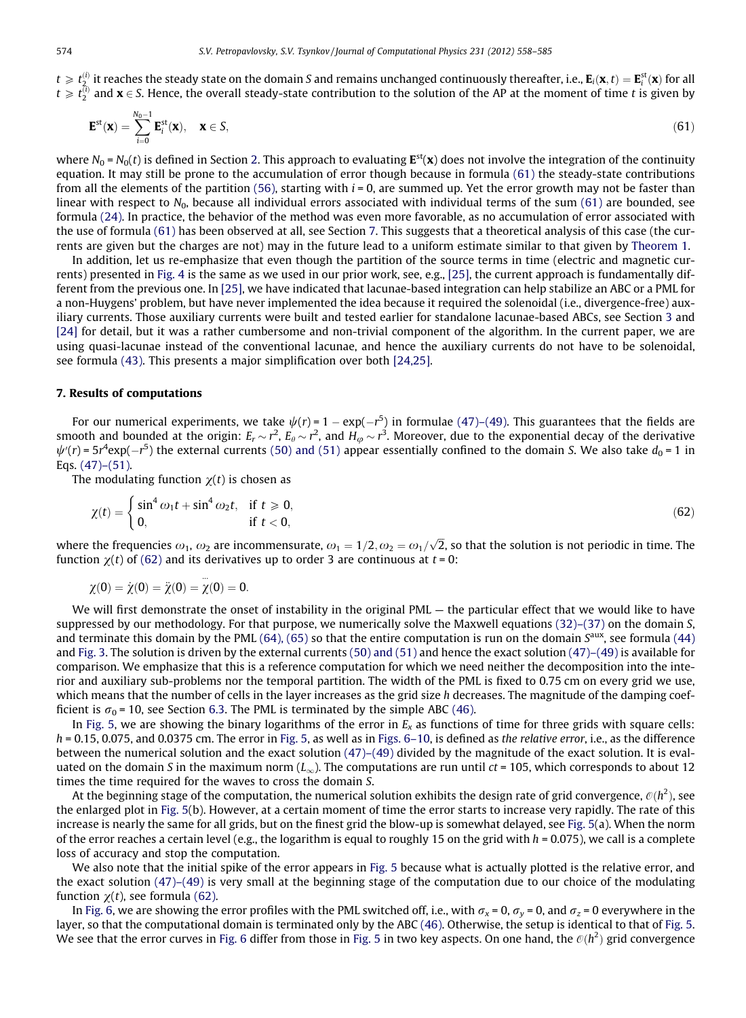<span id="page-16-0"></span> $t\geqslant t^{(i)}_\geqslant$  it reaches the steady state on the domain S and remains unchanged continuously thereafter, i.e.,  ${\bf E}_i({\bf x},t)={\bf E}_i^{\rm st}({\bf x})$  for all  $t\geqslant t_2^{(i)}$  and  $\mathbf{x}\in S$ . Hence, the overall steady-state contribution to the solution of the AP at the moment of time t is given by

$$
\mathbf{E}^{\mathrm{st}}(\mathbf{x}) = \sum_{i=0}^{N_0 - 1} \mathbf{E}_i^{\mathrm{st}}(\mathbf{x}), \quad \mathbf{x} \in S,
$$
 (61)

where  $N_0 = N_0(t)$  is defined in Section 2. This approach to evaluating  $E^{st}(x)$  does not involve the integration of the continuity equation. It may still be prone to the accumulation of error though because in formula (61) the steady-state contributions from all the elements of the partition [\(56\),](#page-15-0) starting with  $i = 0$ , are summed up. Yet the error growth may not be faster than linear with respect to  $N_0$ , because all individual errors associated with individual terms of the sum (61) are bounded, see formula [\(24\).](#page-7-0) In practice, the behavior of the method was even more favorable, as no accumulation of error associated with the use of formula (61) has been observed at all, see Section 7. This suggests that a theoretical analysis of this case (the currents are given but the charges are not) may in the future lead to a uniform estimate similar to that given by [Theorem 1](#page-8-0).

In addition, let us re-emphasize that even though the partition of the source terms in time (electric and magnetic currents) presented in [Fig. 4](#page-14-0) is the same as we used in our prior work, see, e.g., [\[25\],](#page-26-0) the current approach is fundamentally different from the previous one. In [\[25\],](#page-26-0) we have indicated that lacunae-based integration can help stabilize an ABC or a PML for a non-Huygens' problem, but have never implemented the idea because it required the solenoidal (i.e., divergence-free) auxiliary currents. Those auxiliary currents were built and tested earlier for standalone lacunae-based ABCs, see Section 3 and [\[24\]](#page-26-0) for detail, but it was a rather cumbersome and non-trivial component of the algorithm. In the current paper, we are using quasi-lacunae instead of the conventional lacunae, and hence the auxiliary currents do not have to be solenoidal, see formula [\(43\)](#page-11-0). This presents a major simplification over both [\[24,25\]](#page-26-0).

### 7. Results of computations

For our numerical experiments, we take  $\psi(r)$  = 1 – exp( $-r^5$ ) in formulae [\(47\)–\(49\).](#page-13-0) This guarantees that the fields are smooth and bounded at the origin:  $E_r\sim r^2$ ,  $E_\theta\sim r^2$ , and  $H_\varphi\sim r^3$ . Moreover, due to the exponential decay of the derivative  $\psi'(r)$  = 5r<sup>4</sup>exp( $-r^5$ ) the external currents [\(50\) and \(51\)](#page-13-0) appear essentially confined to the domain S. We also take  $d_0$  = 1 in Eqs. [\(47\)–\(51\).](#page-13-0)

The modulating function  $\chi(t)$  is chosen as

$$
\chi(t) = \begin{cases} \sin^4 \omega_1 t + \sin^4 \omega_2 t, & \text{if } t \ge 0, \\ 0, & \text{if } t < 0, \end{cases}
$$
 (62)

where the frequencies  $\omega_1$ ,  $\omega_2$  are incommensurate,  $\omega_1 = 1/2, \omega_2 = \omega_1/\sqrt{2}$ , so that the solution is not periodic in time. The function  $\chi(t)$  of (62) and its derivatives up to order 3 are continuous at  $t = 0$ :

$$
\chi(0) = \dot{\chi}(0) = \ddot{\chi}(0) = \dddot{\chi}(0) = 0.
$$

We will first demonstrate the onset of instability in the original PML – the particular effect that we would like to have suppressed by our methodology. For that purpose, we numerically solve the Maxwell equations [\(32\)–\(37\)](#page-10-0) on the domain S, and terminate this domain by the PML [\(64\), \(65\)](#page-23-0) so that the entire computation is run on the domain  $S<sup>aux</sup>$ , see formula [\(44\)](#page-11-0) and [Fig. 3.](#page-11-0) The solution is driven by the external currents [\(50\) and \(51\)](#page-13-0) and hence the exact solution [\(47\)–\(49\)](#page-13-0) is available for comparison. We emphasize that this is a reference computation for which we need neither the decomposition into the interior and auxiliary sub-problems nor the temporal partition. The width of the PML is fixed to 0.75 cm on every grid we use, which means that the number of cells in the layer increases as the grid size h decreases. The magnitude of the damping coefficient is  $\sigma_0$  = 10, see Section 6.3. The PML is terminated by the simple ABC [\(46\).](#page-12-0)

In [Fig. 5,](#page-17-0) we are showing the binary logarithms of the error in  $E_x$  as functions of time for three grids with square cells:  $h$  = 0.15, 0.075, and 0.0375 cm. The error in [Fig. 5](#page-17-0), as well as in [Figs. 6–10,](#page-17-0) is defined as the relative error, i.e., as the difference between the numerical solution and the exact solution [\(47\)–\(49\)](#page-13-0) divided by the magnitude of the exact solution. It is evaluated on the domain S in the maximum norm  $(L_{\infty})$ . The computations are run until  $ct = 105$ , which corresponds to about 12 times the time required for the waves to cross the domain S.

At the beginning stage of the computation, the numerical solution exhibits the design rate of grid convergence,  $\ell(h^2)$ , see the enlarged plot in [Fig. 5\(](#page-17-0)b). However, at a certain moment of time the error starts to increase very rapidly. The rate of this increase is nearly the same for all grids, but on the finest grid the blow-up is somewhat delayed, see [Fig. 5](#page-17-0)(a). When the norm of the error reaches a certain level (e.g., the logarithm is equal to roughly 15 on the grid with  $h = 0.075$ ), we call is a complete loss of accuracy and stop the computation.

We also note that the initial spike of the error appears in [Fig. 5](#page-17-0) because what is actually plotted is the relative error, and the exact solution [\(47\)–\(49\)](#page-13-0) is very small at the beginning stage of the computation due to our choice of the modulating function  $\gamma(t)$ , see formula (62).

In [Fig. 6](#page-17-0), we are showing the error profiles with the PML switched off, i.e., with  $\sigma_x = 0$ ,  $\sigma_y = 0$ , and  $\sigma_z = 0$  everywhere in the layer, so that the computational domain is terminated only by the ABC [\(46\).](#page-12-0) Otherwise, the setup is identical to that of [Fig. 5](#page-17-0). We see that the error curves in [Fig. 6](#page-17-0) differ from those in [Fig. 5](#page-17-0) in two key aspects. On one hand, the  $\mathcal O(h^2)$  grid convergence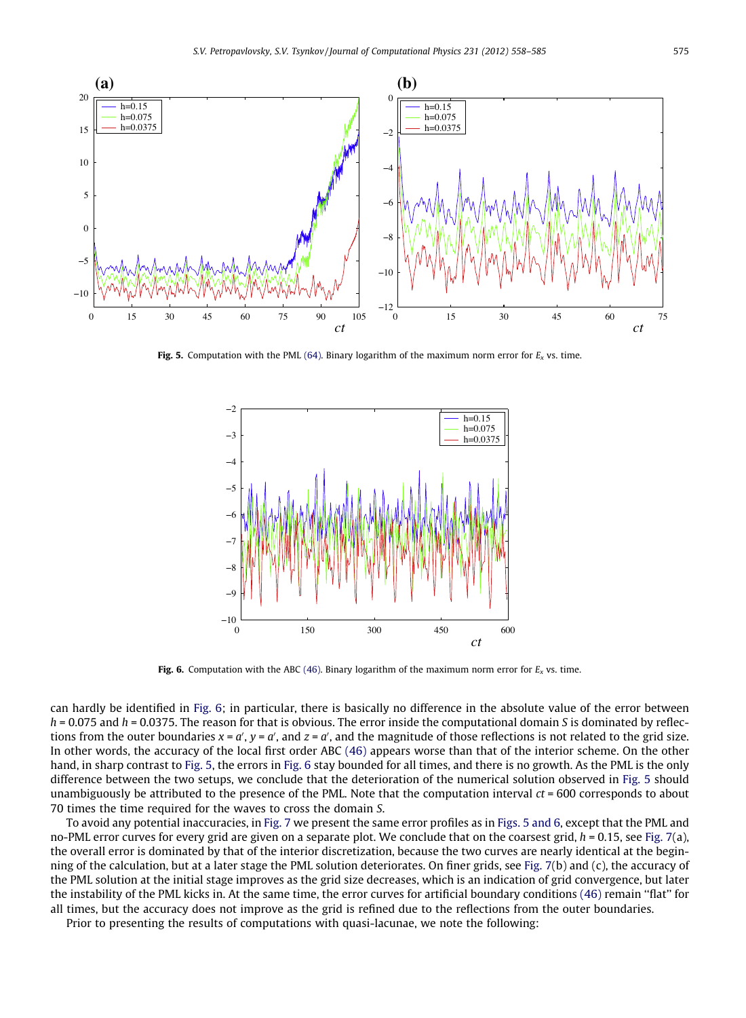<span id="page-17-0"></span>

Fig. 5. Computation with the PML [\(64\)](#page-23-0). Binary logarithm of the maximum norm error for  $E<sub>x</sub>$  vs. time.



Fig. 6. Computation with the ABC [\(46\).](#page-12-0) Binary logarithm of the maximum norm error for  $E_x$  vs. time.

can hardly be identified in Fig. 6; in particular, there is basically no difference in the absolute value of the error between  $h = 0.075$  and  $h = 0.0375$ . The reason for that is obvious. The error inside the computational domain S is dominated by reflections from the outer boundaries  $x = a'$ ,  $y = a'$ , and  $z = a'$ , and the magnitude of those reflections is not related to the grid size. In other words, the accuracy of the local first order ABC [\(46\)](#page-12-0) appears worse than that of the interior scheme. On the other hand, in sharp contrast to Fig. 5, the errors in Fig. 6 stay bounded for all times, and there is no growth. As the PML is the only difference between the two setups, we conclude that the deterioration of the numerical solution observed in Fig. 5 should unambiguously be attributed to the presence of the PML. Note that the computation interval  $ct = 600$  corresponds to about 70 times the time required for the waves to cross the domain S.

To avoid any potential inaccuracies, in [Fig. 7](#page-18-0) we present the same error profiles as in Figs. 5 and 6, except that the PML and no-PML error curves for every grid are given on a separate plot. We conclude that on the coarsest grid,  $h = 0.15$ , see [Fig. 7\(](#page-18-0)a), the overall error is dominated by that of the interior discretization, because the two curves are nearly identical at the beginning of the calculation, but at a later stage the PML solution deteriorates. On finer grids, see [Fig. 7\(](#page-18-0)b) and (c), the accuracy of the PML solution at the initial stage improves as the grid size decreases, which is an indication of grid convergence, but later the instability of the PML kicks in. At the same time, the error curves for artificial boundary conditions [\(46\)](#page-12-0) remain ''flat'' for all times, but the accuracy does not improve as the grid is refined due to the reflections from the outer boundaries.

Prior to presenting the results of computations with quasi-lacunae, we note the following: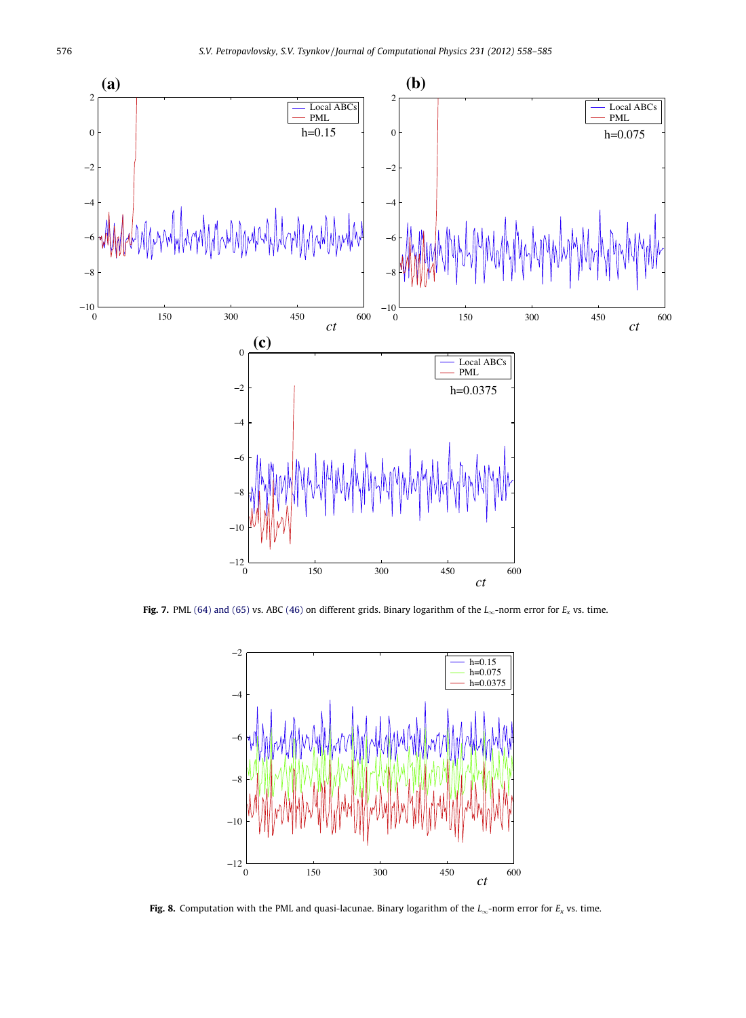<span id="page-18-0"></span>

Fig. 7. PML [\(64\) and \(65\)](#page-23-0) vs. ABC [\(46\)](#page-12-0) on different grids. Binary logarithm of the  $L_{\infty}$ -norm error for  $E_x$  vs. time.



Fig. 8. Computation with the PML and quasi-lacunae. Binary logarithm of the  $L_{\infty}$ -norm error for  $E_x$  vs. time.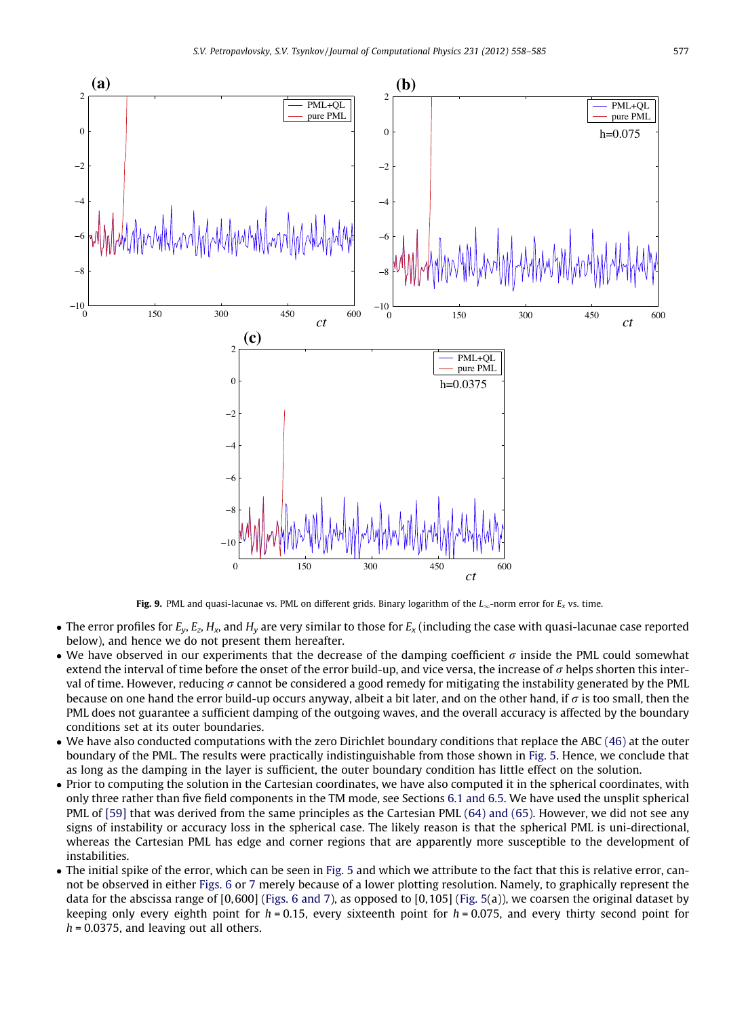<span id="page-19-0"></span>

Fig. 9. PML and quasi-lacunae vs. PML on different grids. Binary logarithm of the  $L_{\infty}$ -norm error for  $E_x$  vs. time.

- The error profiles for  $E_v$ ,  $E_z$ ,  $H_x$ , and  $H_y$  are very similar to those for  $E_x$  (including the case with quasi-lacunae case reported below), and hence we do not present them hereafter.
- We have observed in our experiments that the decrease of the damping coefficient  $\sigma$  inside the PML could somewhat extend the interval of time before the onset of the error build-up, and vice versa, the increase of  $\sigma$  helps shorten this interval of time. However, reducing  $\sigma$  cannot be considered a good remedy for mitigating the instability generated by the PML because on one hand the error build-up occurs anyway, albeit a bit later, and on the other hand, if  $\sigma$  is too small, then the PML does not guarantee a sufficient damping of the outgoing waves, and the overall accuracy is affected by the boundary conditions set at its outer boundaries.
- We have also conducted computations with the zero Dirichlet boundary conditions that replace the ABC [\(46\)](#page-12-0) at the outer boundary of the PML. The results were practically indistinguishable from those shown in [Fig. 5](#page-17-0). Hence, we conclude that as long as the damping in the layer is sufficient, the outer boundary condition has little effect on the solution.
- Prior to computing the solution in the Cartesian coordinates, we have also computed it in the spherical coordinates, with only three rather than five field components in the TM mode, see Sections 6.1 and 6.5. We have used the unsplit spherical PML of [\[59\]](#page-27-0) that was derived from the same principles as the Cartesian PML [\(64\) and \(65\).](#page-23-0) However, we did not see any signs of instability or accuracy loss in the spherical case. The likely reason is that the spherical PML is uni-directional, whereas the Cartesian PML has edge and corner regions that are apparently more susceptible to the development of instabilities.
- The initial spike of the error, which can be seen in [Fig. 5](#page-17-0) and which we attribute to the fact that this is relative error, cannot be observed in either [Figs. 6](#page-17-0) or [7](#page-18-0) merely because of a lower plotting resolution. Namely, to graphically represent the data for the abscissa range of [0,600] ([Figs. 6 and 7](#page-17-0)), as opposed to [0,105] ([Fig. 5\(](#page-17-0)a)), we coarsen the original dataset by keeping only every eighth point for  $h = 0.15$ , every sixteenth point for  $h = 0.075$ , and every thirty second point for  $h = 0.0375$ , and leaving out all others.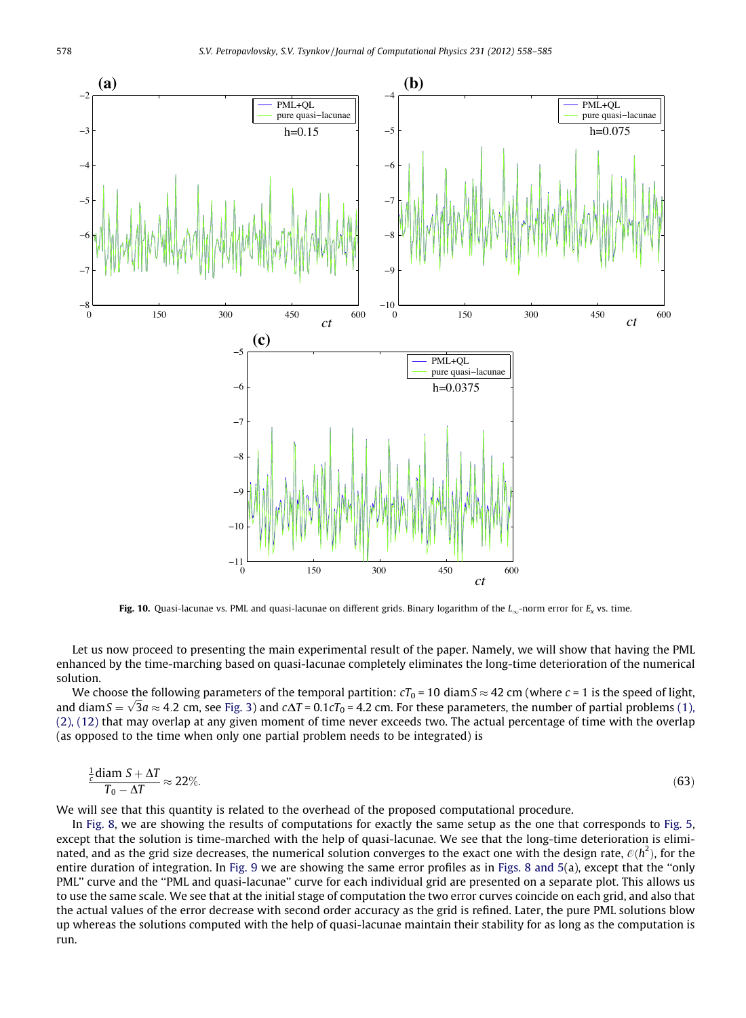<span id="page-20-0"></span>

Fig. 10. Quasi-lacunae vs. PML and quasi-lacunae on different grids. Binary logarithm of the  $L_{\infty}$ -norm error for  $E_x$  vs. time.

Let us now proceed to presenting the main experimental result of the paper. Namely, we will show that having the PML enhanced by the time-marching based on quasi-lacunae completely eliminates the long-time deterioration of the numerical solution.

We choose the following parameters of the temporal partition:  $cT_0$  = 10 diamS  $\approx$  42 cm (where  $c$  = 1 is the speed of light, we choose the following parameters of the temporal partition,  $C_0$  = 10 diams  $\approx$  42 cm (where  $c$  = 1 is the speed of ngm, and diams  $\approx$  4.2 cm, see [Fig. 3](#page-11-0)) and  $c\Delta T$  = 0.1cT<sub>0</sub> = 4.2 cm. For these parameters, the nu [\(2\), \(12\)](#page-3-0) that may overlap at any given moment of time never exceeds two. The actual percentage of time with the overlap (as opposed to the time when only one partial problem needs to be integrated) is

$$
\frac{\frac{1}{c}\operatorname{diam} S + \Delta T}{T_0 - \Delta T} \approx 22\%.\tag{63}
$$

We will see that this quantity is related to the overhead of the proposed computational procedure.

In [Fig. 8,](#page-18-0) we are showing the results of computations for exactly the same setup as the one that corresponds to [Fig. 5,](#page-17-0) except that the solution is time-marched with the help of quasi-lacunae. We see that the long-time deterioration is eliminated, and as the grid size decreases, the numerical solution converges to the exact one with the design rate,  $\mathcal{O}(h^2)$ , for the entire duration of integration. In [Fig. 9](#page-19-0) we are showing the same error profiles as in [Figs. 8 and 5\(](#page-18-0)a), except that the ''only PML'' curve and the ''PML and quasi-lacunae'' curve for each individual grid are presented on a separate plot. This allows us to use the same scale. We see that at the initial stage of computation the two error curves coincide on each grid, and also that the actual values of the error decrease with second order accuracy as the grid is refined. Later, the pure PML solutions blow up whereas the solutions computed with the help of quasi-lacunae maintain their stability for as long as the computation is run.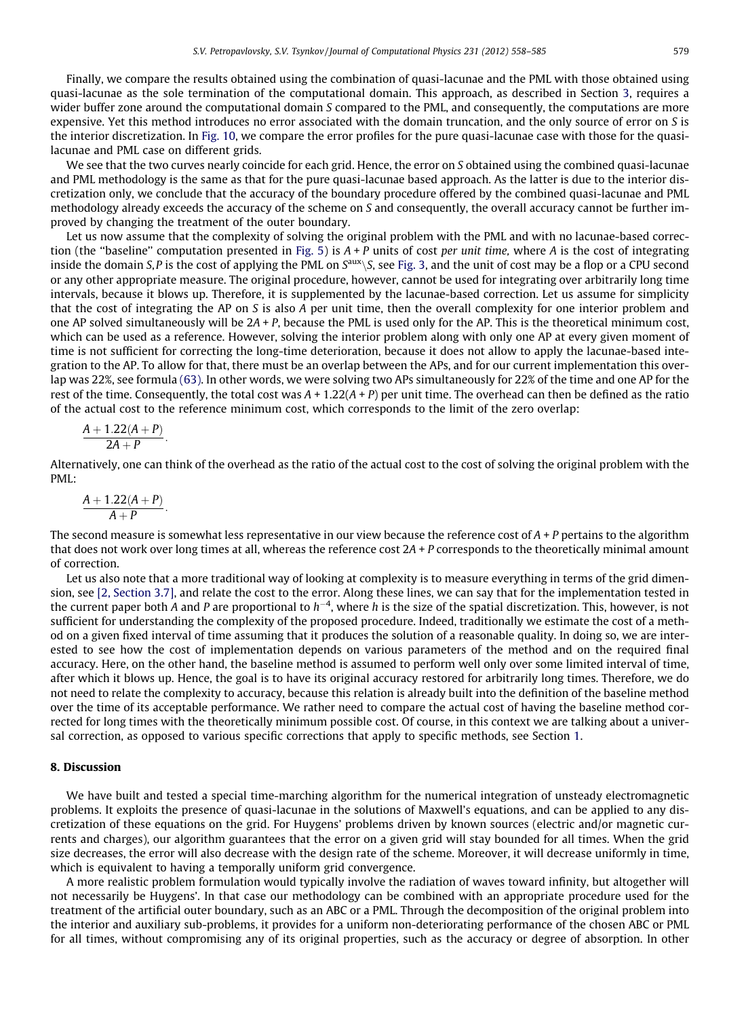Finally, we compare the results obtained using the combination of quasi-lacunae and the PML with those obtained using quasi-lacunae as the sole termination of the computational domain. This approach, as described in Section 3, requires a wider buffer zone around the computational domain S compared to the PML, and consequently, the computations are more expensive. Yet this method introduces no error associated with the domain truncation, and the only source of error on S is the interior discretization. In [Fig. 10,](#page-20-0) we compare the error profiles for the pure quasi-lacunae case with those for the quasilacunae and PML case on different grids.

We see that the two curves nearly coincide for each grid. Hence, the error on S obtained using the combined quasi-lacunae and PML methodology is the same as that for the pure quasi-lacunae based approach. As the latter is due to the interior discretization only, we conclude that the accuracy of the boundary procedure offered by the combined quasi-lacunae and PML methodology already exceeds the accuracy of the scheme on S and consequently, the overall accuracy cannot be further improved by changing the treatment of the outer boundary.

Let us now assume that the complexity of solving the original problem with the PML and with no lacunae-based correc-tion (the "baseline" computation presented in [Fig. 5\)](#page-17-0) is  $A + P$  units of cost per unit time, where A is the cost of integrating inside the domain S,P is the cost of applying the PML on  $S^{aux}\S$ , see [Fig. 3](#page-11-0), and the unit of cost may be a flop or a CPU second or any other appropriate measure. The original procedure, however, cannot be used for integrating over arbitrarily long time intervals, because it blows up. Therefore, it is supplemented by the lacunae-based correction. Let us assume for simplicity that the cost of integrating the AP on S is also A per unit time, then the overall complexity for one interior problem and one AP solved simultaneously will be  $2A + P$ , because the PML is used only for the AP. This is the theoretical minimum cost, which can be used as a reference. However, solving the interior problem along with only one AP at every given moment of time is not sufficient for correcting the long-time deterioration, because it does not allow to apply the lacunae-based integration to the AP. To allow for that, there must be an overlap between the APs, and for our current implementation this overlap was 22%, see formula [\(63\).](#page-20-0) In other words, we were solving two APs simultaneously for 22% of the time and one AP for the rest of the time. Consequently, the total cost was  $A + 1.22(A + P)$  per unit time. The overhead can then be defined as the ratio of the actual cost to the reference minimum cost, which corresponds to the limit of the zero overlap:

$$
\frac{A+1.22(A+P)}{2A+P}.
$$

Alternatively, one can think of the overhead as the ratio of the actual cost to the cost of solving the original problem with the PML:

$$
\frac{A+1.22(A+P)}{A+P}.
$$

The second measure is somewhat less representative in our view because the reference cost of  $A + P$  pertains to the algorithm that does not work over long times at all, whereas the reference cost  $2A + P$  corresponds to the theoretically minimal amount of correction.

Let us also note that a more traditional way of looking at complexity is to measure everything in terms of the grid dimension, see [\[2, Section 3.7\]](#page-25-0), and relate the cost to the error. Along these lines, we can say that for the implementation tested in the current paper both A and P are proportional to  $h^{-4}$ , where h is the size of the spatial discretization. This, however, is not sufficient for understanding the complexity of the proposed procedure. Indeed, traditionally we estimate the cost of a method on a given fixed interval of time assuming that it produces the solution of a reasonable quality. In doing so, we are interested to see how the cost of implementation depends on various parameters of the method and on the required final accuracy. Here, on the other hand, the baseline method is assumed to perform well only over some limited interval of time, after which it blows up. Hence, the goal is to have its original accuracy restored for arbitrarily long times. Therefore, we do not need to relate the complexity to accuracy, because this relation is already built into the definition of the baseline method over the time of its acceptable performance. We rather need to compare the actual cost of having the baseline method corrected for long times with the theoretically minimum possible cost. Of course, in this context we are talking about a universal correction, as opposed to various specific corrections that apply to specific methods, see Section 1.

## 8. Discussion

We have built and tested a special time-marching algorithm for the numerical integration of unsteady electromagnetic problems. It exploits the presence of quasi-lacunae in the solutions of Maxwell's equations, and can be applied to any discretization of these equations on the grid. For Huygens' problems driven by known sources (electric and/or magnetic currents and charges), our algorithm guarantees that the error on a given grid will stay bounded for all times. When the grid size decreases, the error will also decrease with the design rate of the scheme. Moreover, it will decrease uniformly in time, which is equivalent to having a temporally uniform grid convergence.

A more realistic problem formulation would typically involve the radiation of waves toward infinity, but altogether will not necessarily be Huygens'. In that case our methodology can be combined with an appropriate procedure used for the treatment of the artificial outer boundary, such as an ABC or a PML. Through the decomposition of the original problem into the interior and auxiliary sub-problems, it provides for a uniform non-deteriorating performance of the chosen ABC or PML for all times, without compromising any of its original properties, such as the accuracy or degree of absorption. In other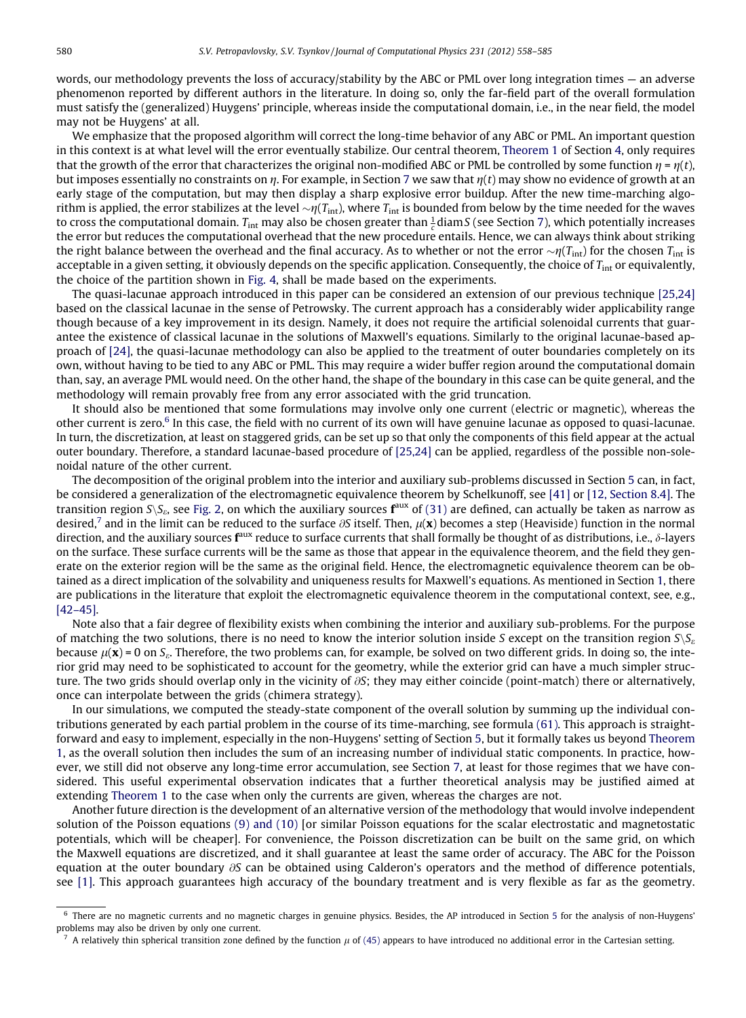words, our methodology prevents the loss of accuracy/stability by the ABC or PML over long integration times — an adverse phenomenon reported by different authors in the literature. In doing so, only the far-field part of the overall formulation must satisfy the (generalized) Huygens' principle, whereas inside the computational domain, i.e., in the near field, the model may not be Huygens' at all.

We emphasize that the proposed algorithm will correct the long-time behavior of any ABC or PML. An important question in this context is at what level will the error eventually stabilize. Our central theorem, [Theorem 1](#page-8-0) of Section 4, only requires that the growth of the error that characterizes the original non-modified ABC or PML be controlled by some function  $\eta = \eta(t)$ , but imposes essentially no constraints on  $\eta$ . For example, in Section 7 we saw that  $\eta(t)$  may show no evidence of growth at an early stage of the computation, but may then display a sharp explosive error buildup. After the new time-marching algorithm is applied, the error stabilizes at the level  $\sim \eta(T_{\text{int}})$ , where  $T_{\text{int}}$  is bounded from below by the time needed for the waves to cross the computational domain.  $T_{\rm int}$  may also be chosen greater than  $\frac{1}{c}$ diamS (see Section 7), which potentially increases the error but reduces the computational overhead that the new procedure entails. Hence, we can always think about striking the right balance between the overhead and the final accuracy. As to whether or not the error  $\sim \eta(T_{\text{int}})$  for the chosen  $T_{\text{int}}$  is acceptable in a given setting, it obviously depends on the specific application. Consequently, the choice of  $T_{\text{int}}$  or equivalently, the choice of the partition shown in [Fig. 4,](#page-14-0) shall be made based on the experiments.

The quasi-lacunae approach introduced in this paper can be considered an extension of our previous technique [\[25,24\]](#page-26-0) based on the classical lacunae in the sense of Petrowsky. The current approach has a considerably wider applicability range though because of a key improvement in its design. Namely, it does not require the artificial solenoidal currents that guarantee the existence of classical lacunae in the solutions of Maxwell's equations. Similarly to the original lacunae-based approach of [\[24\]](#page-26-0), the quasi-lacunae methodology can also be applied to the treatment of outer boundaries completely on its own, without having to be tied to any ABC or PML. This may require a wider buffer region around the computational domain than, say, an average PML would need. On the other hand, the shape of the boundary in this case can be quite general, and the methodology will remain provably free from any error associated with the grid truncation.

It should also be mentioned that some formulations may involve only one current (electric or magnetic), whereas the other current is zero.6 In this case, the field with no current of its own will have genuine lacunae as opposed to quasi-lacunae. In turn, the discretization, at least on staggered grids, can be set up so that only the components of this field appear at the actual outer boundary. Therefore, a standard lacunae-based procedure of [\[25,24\]](#page-26-0) can be applied, regardless of the possible non-solenoidal nature of the other current.

The decomposition of the original problem into the interior and auxiliary sub-problems discussed in Section 5 can, in fact, be considered a generalization of the electromagnetic equivalence theorem by Schelkunoff, see [\[41\]](#page-26-0) or [\[12, Section 8.4\]](#page-26-0). The transition region S\S $_{\rm\scriptscriptstyle\rm E}$ , see [Fig. 2](#page-9-0), on which the auxiliary sources  ${\bf f}^{\rm aux}$  of [\(31\)](#page-9-0) are defined, can actually be taken as narrow as desired,<sup>7</sup> and in the limit can be reduced to the surface  $\partial S$  itself. Then,  $\mu(\mathbf{x})$  becomes a step (Heaviside) function in the normal direction, and the auxiliary sources f<sup>aux</sup> reduce to surface currents that shall formally be thought of as distributions, i.e.,  $\delta$ -layers on the surface. These surface currents will be the same as those that appear in the equivalence theorem, and the field they generate on the exterior region will be the same as the original field. Hence, the electromagnetic equivalence theorem can be obtained as a direct implication of the solvability and uniqueness results for Maxwell's equations. As mentioned in Section 1, there are publications in the literature that exploit the electromagnetic equivalence theorem in the computational context, see, e.g., [\[42–45\]](#page-26-0).

Note also that a fair degree of flexibility exists when combining the interior and auxiliary sub-problems. For the purpose of matching the two solutions, there is no need to know the interior solution inside S except on the transition region  $S\mathcal{S}_{\varepsilon}$ because  $\mu(\mathbf{x}) = 0$  on  $S_{\varepsilon}$ . Therefore, the two problems can, for example, be solved on two different grids. In doing so, the interior grid may need to be sophisticated to account for the geometry, while the exterior grid can have a much simpler structure. The two grids should overlap only in the vicinity of  $\partial S$ ; they may either coincide (point-match) there or alternatively, once can interpolate between the grids (chimera strategy).

In our simulations, we computed the steady-state component of the overall solution by summing up the individual contributions generated by each partial problem in the course of its time-marching, see formula [\(61\)](#page-16-0). This approach is straightforward and easy to implement, especially in the non-Huygens' setting of Section 5, but it formally takes us beyond [Theorem](#page-8-0) [1,](#page-8-0) as the overall solution then includes the sum of an increasing number of individual static components. In practice, however, we still did not observe any long-time error accumulation, see Section 7, at least for those regimes that we have considered. This useful experimental observation indicates that a further theoretical analysis may be justified aimed at extending [Theorem 1](#page-8-0) to the case when only the currents are given, whereas the charges are not.

Another future direction is the development of an alternative version of the methodology that would involve independent solution of the Poisson equations [\(9\) and \(10\)](#page-4-0) [or similar Poisson equations for the scalar electrostatic and magnetostatic potentials, which will be cheaper]. For convenience, the Poisson discretization can be built on the same grid, on which the Maxwell equations are discretized, and it shall guarantee at least the same order of accuracy. The ABC for the Poisson equation at the outer boundary  $\partial S$  can be obtained using Calderon's operators and the method of difference potentials, see [\[1\]](#page-25-0). This approach guarantees high accuracy of the boundary treatment and is very flexible as far as the geometry.

There are no magnetic currents and no magnetic charges in genuine physics. Besides, the AP introduced in Section 5 for the analysis of non-Huygens' problems may also be driven by only one current.

<sup>&</sup>lt;sup>7</sup> A relatively thin spherical transition zone defined by the function  $\mu$  of [\(45\)](#page-11-0) appears to have introduced no additional error in the Cartesian setting.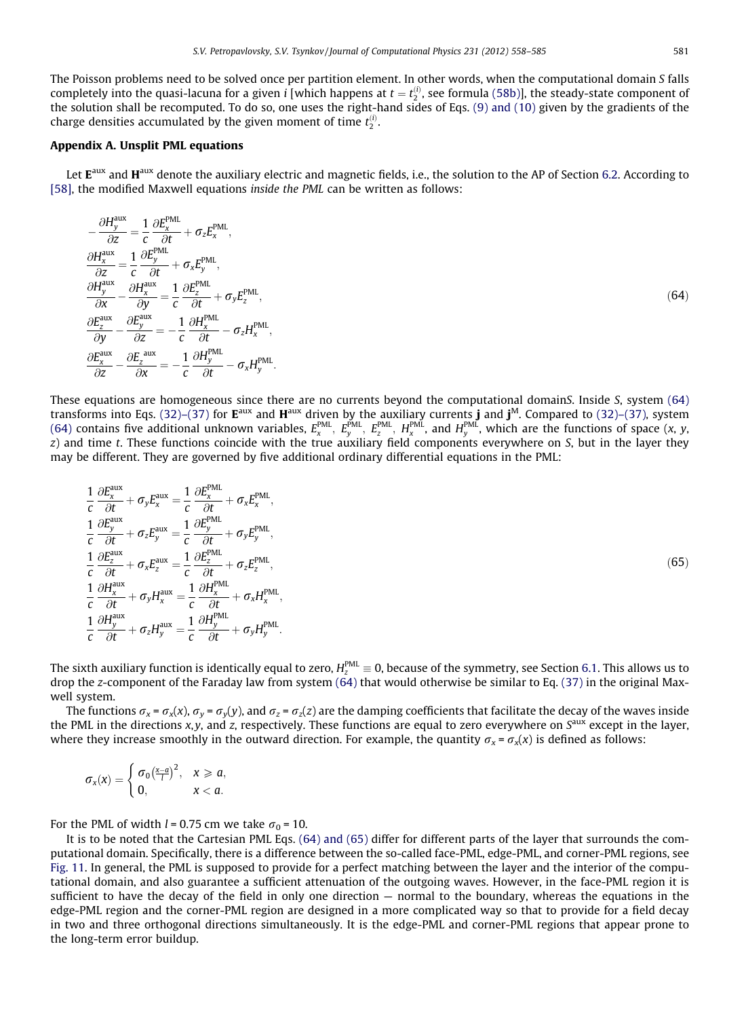<span id="page-23-0"></span>The Poisson problems need to be solved once per partition element. In other words, when the computational domain S falls completely into the quasi-lacuna for a given  $i$  [which happens at  $t=t_2^{(i)}$ , see formula [\(58b\)\]](#page-15-0), the steady-state component of the solution shall be recomputed. To do so, one uses the right-hand sides of Eqs. [\(9\) and \(10\)](#page-4-0) given by the gradients of the charge densities accumulated by the given moment of time  $t_2^{(i)}$ .

## Appendix A. Unsplit PML equations

Let  $E^{aux}$  and  $H^{aux}$  denote the auxiliary electric and magnetic fields, i.e., the solution to the AP of Section 6.2. According to [\[58\]](#page-27-0), the modified Maxwell equations *inside the PML* can be written as follows:

$$
-\frac{\partial H_y^{\text{aux}}}{\partial z} = \frac{1}{c} \frac{\partial E_y^{\text{PML}}}{\partial t} + \sigma_z E_y^{\text{PML}},
$$
\n
$$
\frac{\partial H_x^{\text{aux}}}{\partial z} = \frac{1}{c} \frac{\partial E_y^{\text{PML}}}{\partial t} + \sigma_x E_y^{\text{PML}},
$$
\n
$$
\frac{\partial H_y^{\text{aux}}}{\partial x} - \frac{\partial H_x^{\text{aux}}}{\partial y} = \frac{1}{c} \frac{\partial E_z^{\text{PML}}}{\partial t} + \sigma_y E_z^{\text{PML}},
$$
\n
$$
\frac{\partial E_z^{\text{aux}}}{\partial y} - \frac{\partial E_y^{\text{aux}}}{\partial z} = -\frac{1}{c} \frac{\partial H_x^{\text{PML}}}{\partial t} - \sigma_z H_x^{\text{PML}},
$$
\n
$$
\frac{\partial E_x^{\text{aux}}}{\partial z} - \frac{\partial E_z^{\text{aux}}}{\partial x} = -\frac{1}{c} \frac{\partial H_y^{\text{PML}}}{\partial t} - \sigma_x H_y^{\text{PML}}.
$$
\n(64)

These equations are homogeneous since there are no currents beyond the computational domainS. Inside S, system (64) transforms into Eqs. [\(32\)–\(37\)](#page-10-0) for  $E^{aux}$  and  $H^{aux}$  driven by the auxiliary currents  $j$  and  $j^M$ . Compared to [\(32\)–\(37\),](#page-10-0) system (64) contains five additional unknown variables,  $E_x^{\rm PML},~E_y^{\rm PML},~E_z^{\rm PML},~H_x^{\rm PML}$ , and  $H_y^{\rm PML}$ , which are the functions of space (x, y,  $z$ ) and time t. These functions coincide with the true auxiliary field components everywhere on S, but in the layer they may be different. They are governed by five additional ordinary differential equations in the PML:

$$
\frac{1}{c} \frac{\partial E_x^{\text{aux}}}{\partial t} + \sigma_y E_x^{\text{aux}} = \frac{1}{c} \frac{\partial E_y^{\text{PML}}}{\partial t} + \sigma_x E_x^{\text{PML}} \n\frac{1}{c} \frac{\partial E_y^{\text{aux}}}{\partial t} + \sigma_z E_y^{\text{aux}} = \frac{1}{c} \frac{\partial E_y^{\text{PML}}}{\partial t} + \sigma_y E_y^{\text{PML}}, \n\frac{1}{c} \frac{\partial E_z^{\text{aux}}}{\partial t} + \sigma_x E_z^{\text{aux}} = \frac{1}{c} \frac{\partial E_z^{\text{PML}}}{\partial t} + \sigma_z E_z^{\text{PML}}, \n\frac{1}{c} \frac{\partial H_x^{\text{aux}}}{\partial t} + \sigma_y H_x^{\text{aux}} = \frac{1}{c} \frac{\partial H_x^{\text{PML}}}{\partial t} + \sigma_x H_x^{\text{PML}}, \n\frac{1}{c} \frac{\partial H_y^{\text{aux}}}{\partial t} + \sigma_z H_y^{\text{aux}} = \frac{1}{c} \frac{\partial H_y^{\text{PML}}}{\partial t} + \sigma_y H_y^{\text{PML}}.
$$
\n(65)

The sixth auxiliary function is identically equal to zero,  $H_z^{\rm PML}=0$ , because of the symmetry, see Section 6.1. This allows us to drop the z-component of the Faraday law from system (64) that would otherwise be similar to Eq. (37) in the original Maxwell system.

The functions  $\sigma_x = \sigma_x(x)$ ,  $\sigma_y = \sigma_y(y)$ , and  $\sigma_z = \sigma_z(z)$  are the damping coefficients that facilitate the decay of the waves inside the PML in the directions x, y, and z, respectively. These functions are equal to zero everywhere on  $S<sup>aux</sup>$  except in the layer, where they increase smoothly in the outward direction. For example, the quantity  $\sigma_x = \sigma_x(x)$  is defined as follows:

$$
\sigma_x(x) = \begin{cases} \sigma_0 \left(\frac{x-a}{l}\right)^2, & x \geqslant a, \\ 0, & x < a. \end{cases}
$$

For the PML of width  $l = 0.75$  cm we take  $\sigma_0 = 10$ .

It is to be noted that the Cartesian PML Eqs. (64) and (65) differ for different parts of the layer that surrounds the computational domain. Specifically, there is a difference between the so-called face-PML, edge-PML, and corner-PML regions, see [Fig. 11.](#page-24-0) In general, the PML is supposed to provide for a perfect matching between the layer and the interior of the computational domain, and also guarantee a sufficient attenuation of the outgoing waves. However, in the face-PML region it is sufficient to have the decay of the field in only one direction — normal to the boundary, whereas the equations in the edge-PML region and the corner-PML region are designed in a more complicated way so that to provide for a field decay in two and three orthogonal directions simultaneously. It is the edge-PML and corner-PML regions that appear prone to the long-term error buildup.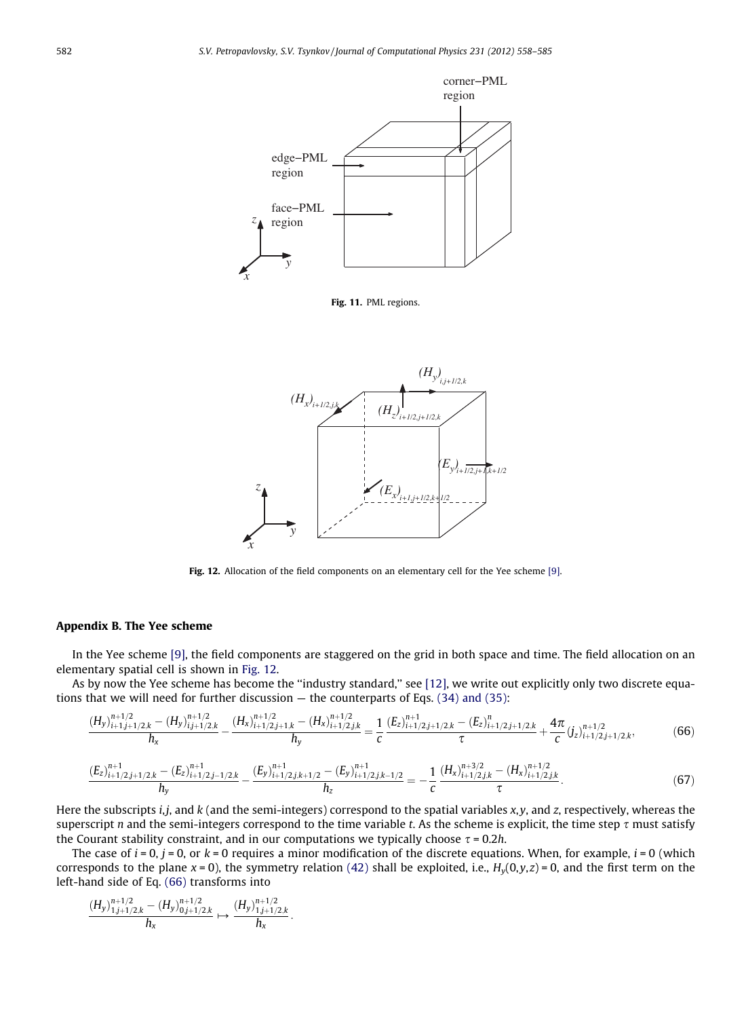<span id="page-24-0"></span>

Fig. 11. PML regions.



Fig. 12. Allocation of the field components on an elementary cell for the Yee scheme [\[9\].](#page-26-0)

## Appendix B. The Yee scheme

In the Yee scheme [\[9\]](#page-26-0), the field components are staggered on the grid in both space and time. The field allocation on an elementary spatial cell is shown in Fig. 12.

As by now the Yee scheme has become the ''industry standard,'' see [\[12\],](#page-26-0) we write out explicitly only two discrete equations that we will need for further discussion  $-$  the counterparts of Eqs. (34) and (35):

$$
\frac{(H_y)_{i+1,j+1/2,k}^{n+1/2} - (H_y)_{i,j+1/2,k}^{n+1/2}}{h_x} - \frac{(H_x)_{i+1/2,j+1,k}^{n+1/2} - (H_x)_{i+1/2,j,k}^{n+1/2}}{h_y} = \frac{1}{c} \frac{(E_z)_{i+1/2,j+1/2,k}^{n+1} - (E_z)_{i+1/2,j+1/2,k}^n}{\tau} + \frac{4\pi}{c} (j_z)_{i+1/2,j+1/2,k}^{n+1/2},
$$
(66)

$$
\frac{(E_z)_{i+1/2,j+1/2,k}^{n+1} - (E_z)_{i+1/2,j-1/2,k}^{n+1}}{h_y} - \frac{(E_y)_{i+1/2,j,k+1/2}^{n+1} - (E_y)_{i+1/2,j,k-1/2}^{n+1}}{h_z} = -\frac{1}{c} \frac{(H_x)_{i+1/2,j,k}^{n+3/2} - (H_x)_{i+1/2,j,k}^{n+1/2}}{\tau}.
$$
(67)

Here the subscripts i,j, and k (and the semi-integers) correspond to the spatial variables  $x, y$ , and  $z$ , respectively, whereas the superscript n and the semi-integers correspond to the time variable t. As the scheme is explicit, the time step  $\tau$  must satisfy the Courant stability constraint, and in our computations we typically choose  $\tau$  = 0.2h.

The case of  $i = 0$ ,  $j = 0$ , or  $k = 0$  requires a minor modification of the discrete equations. When, for example,  $i = 0$  (which corresponds to the plane  $x = 0$ ), the symmetry relation (42) shall be exploited, i.e.,  $H<sub>v</sub>(0, y, z) = 0$ , and the first term on the left-hand side of Eq. (66) transforms into

$$
\frac{(H_y)_{1,j+1/2,k}^{n+1/2} - (H_y)_{0,j+1/2,k}^{n+1/2}}{h_x} \mapsto \frac{(H_y)_{1,j+1/2,k}^{n+1/2}}{h_x}.
$$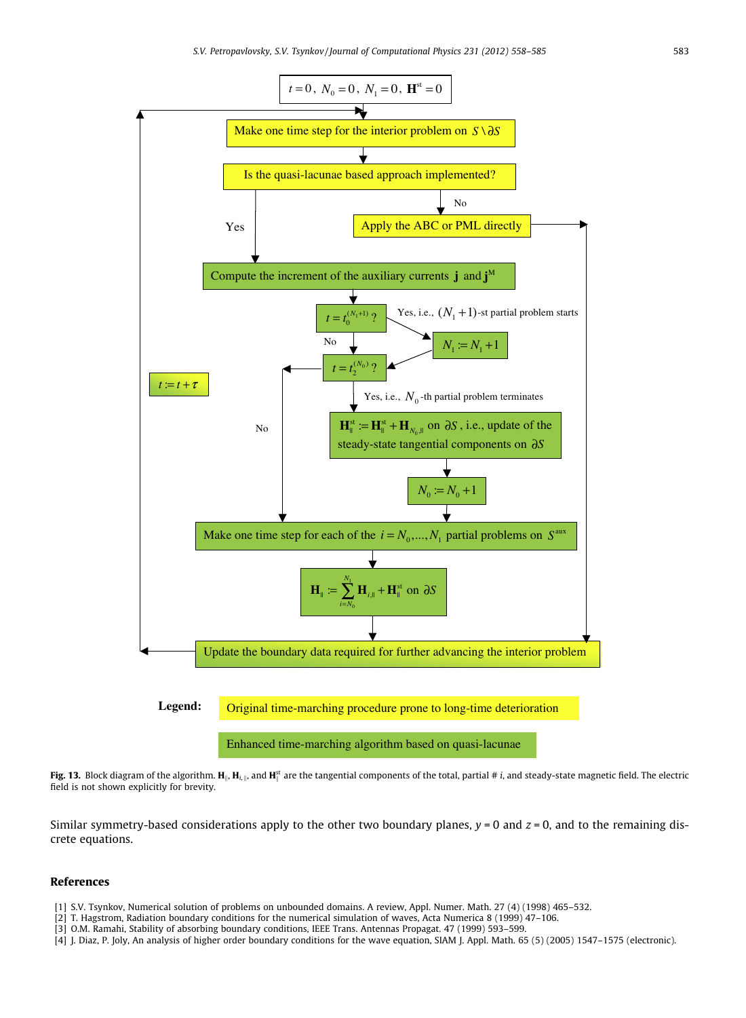<span id="page-25-0"></span>

**Fig. 13.** Block diagram of the algorithm.  $\mathbf{H}_{\parallel}$ ,  $\mathbf{H}_{i,\parallel}$ , and  $\mathbf{H}_{i}^{\parallel}$  are the tangential components of the total, partial # i, and steady-state magnetic field. The electric field is not shown explicitly for brevity.

Similar symmetry-based considerations apply to the other two boundary planes,  $y = 0$  and  $z = 0$ , and to the remaining discrete equations.

### References

- [1] S.V. Tsynkov, Numerical solution of problems on unbounded domains. A review, Appl. Numer. Math. 27 (4) (1998) 465–532.
- [2] T. Hagstrom, Radiation boundary conditions for the numerical simulation of waves, Acta Numerica 8 (1999) 47–106.
- [3] O.M. Ramahi, Stability of absorbing boundary conditions, IEEE Trans. Antennas Propagat. 47 (1999) 593–599.
- [4] J. Diaz, P. Joly, An analysis of higher order boundary conditions for the wave equation, SIAM J. Appl. Math. 65 (5) (2005) 1547–1575 (electronic).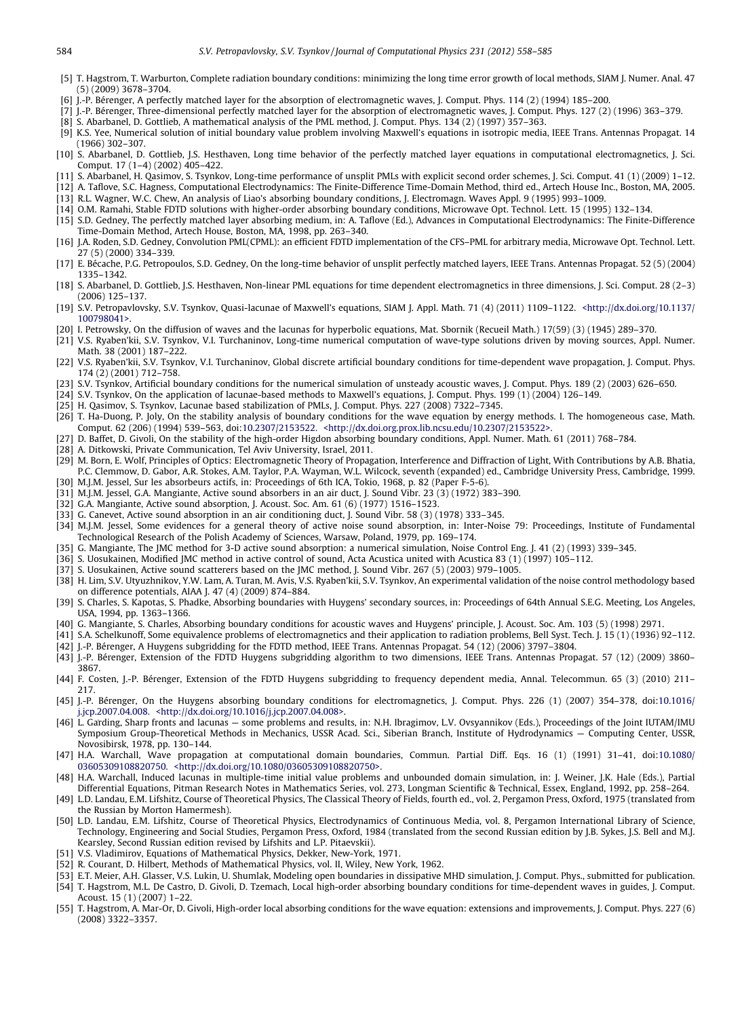- <span id="page-26-0"></span>[5] T. Hagstrom, T. Warburton, Complete radiation boundary conditions: minimizing the long time error growth of local methods, SIAM J. Numer. Anal. 47 (5) (2009) 3678–3704.
- [6] J.-P. Bérenger, A perfectly matched layer for the absorption of electromagnetic waves, J. Comput. Phys. 114 (2) (1994) 185–200.
- [7] J.-P. Bérenger, Three-dimensional perfectly matched layer for the absorption of electromagnetic waves, J. Comput. Phys. 127 (2) (1996) 363–379.
- [8] S. Abarbanel, D. Gottlieb, A mathematical analysis of the PML method, J. Comput. Phys. 134 (2) (1997) 357–363.
- [9] K.S. Yee, Numerical solution of initial boundary value problem involving Maxwell's equations in isotropic media, IEEE Trans. Antennas Propagat. 14 (1966) 302–307.
- [10] S. Abarbanel, D. Gottlieb, J.S. Hesthaven, Long time behavior of the perfectly matched layer equations in computational electromagnetics, J. Sci. Comput. 17 (1–4) (2002) 405–422.
- [11] S. Abarbanel, H. Qasimov, S. Tsynkov, Long-time performance of unsplit PMLs with explicit second order schemes, J. Sci. Comput. 41 (1) (2009) 1–12.
- [12] A. Taflove, S.C. Hagness, Computational Electrodynamics: The Finite-Difference Time-Domain Method, third ed., Artech House Inc., Boston, MA, 2005.
- [13] R.L. Wagner, W.C. Chew, An analysis of Liao's absorbing boundary conditions, J. Electromagn. Waves Appl. 9 (1995) 993–1009.
- [14] O.M. Ramahi, Stable FDTD solutions with higher-order absorbing boundary conditions, Microwave Opt. Technol. Lett. 15 (1995) 132–134. [15] S.D. Gedney, The perfectly matched layer absorbing medium, in: A. Taflove (Ed.), Advances in Computational Electrodynamics: The Finite-Difference Time-Domain Method, Artech House, Boston, MA, 1998, pp. 263–340.
- [16] J.A. Roden, S.D. Gedney, Convolution PML(CPML): an efficient FDTD implementation of the CFS–PML for arbitrary media, Microwave Opt. Technol. Lett. 27 (5) (2000) 334–339.
- [17] E. Bécache, P.G. Petropoulos, S.D. Gedney, On the long-time behavior of unsplit perfectly matched layers, IEEE Trans. Antennas Propagat. 52 (5) (2004) 1335–1342.
- [18] S. Abarbanel, D. Gottlieb, J.S. Hesthaven, Non-linear PML equations for time dependent electromagnetics in three dimensions, J. Sci. Comput. 28 (2–3) (2006) 125–137.
- [19] S.V. Petropavlovsky, S.V. Tsynkov, Quasi-lacunae of Maxwell's equations, SIAM J. Appl. Math. 71 (4) (2011) 1109–1122. [<http://dx.doi.org/10.1137/](http://dx.doi.org/10.1137/100798041) [100798041>](http://dx.doi.org/10.1137/100798041).
- [20] I. Petrowsky, On the diffusion of waves and the lacunas for hyperbolic equations, Mat. Sbornik (Recueil Math.) 17(59) (3) (1945) 289-370.
- [21] V.S. Ryaben'kii, S.V. Tsynkov, V.I. Turchaninov, Long-time numerical computation of wave-type solutions driven by moving sources, Appl. Numer. Math. 38 (2001) 187–222.
- [22] V.S. Ryaben'kii, S.V. Tsynkov, V.I. Turchaninov, Global discrete artificial boundary conditions for time-dependent wave propagation, J. Comput. Phys. 174 (2) (2001) 712–758.
- [23] S.V. Tsynkov, Artificial boundary conditions for the numerical simulation of unsteady acoustic waves, J. Comput. Phys. 189 (2) (2003) 626–650.
- [24] S.V. Tsynkov, On the application of lacunae-based methods to Maxwell's equations, J. Comput. Phys. 199 (1) (2004) 126–149.
- [25] H. Qasimov, S. Tsynkov, Lacunae based stabilization of PMLs, J. Comput. Phys. 227 (2008) 7322–7345.
- [26] T. Ha-Duong, P. Joly, On the stability analysis of boundary conditions for the wave equation by energy methods. I. The homogeneous case, Math. Comput. 62 (206) (1994) 539-563, doi:[10.2307/2153522.](http://dx.doi.org/10.2307/2153522) [<http://dx.doi.org.prox.lib.ncsu.edu/10.2307/2153522>.](http://dx.doi.org.prox.lib.ncsu.edu/10.2307/2153522)
- [27] D. Baffet, D. Givoli, On the stability of the high-order Higdon absorbing boundary conditions, Appl. Numer. Math. 61 (2011) 768–784.
- [28] A. Ditkowski, Private Communication, Tel Aviv University, Israel, 2011.
- [29] M. Born, E. Wolf, Principles of Optics: Electromagnetic Theory of Propagation, Interference and Diffraction of Light, With Contributions by A.B. Bhatia, P.C. Clemmow, D. Gabor, A.R. Stokes, A.M. Taylor, P.A. Wayman, W.L. Wilcock, seventh (expanded) ed., Cambridge University Press, Cambridge, 1999. [30] M.J.M. Jessel, Sur les absorbeurs actifs, in: Proceedings of 6th ICA, Tokio, 1968, p. 82 (Paper F-5-6).
- [31] M.J.M. Jessel, G.A. Mangiante, Active sound absorbers in an air duct, J. Sound Vibr. 23 (3) (1972) 383–390.
- [32] G.A. Mangiante, Active sound absorption, J. Acoust. Soc. Am. 61 (6) (1977) 1516–1523.
- [33] G. Canevet, Active sound absorption in an air conditioning duct, J. Sound Vibr. 58 (3) (1978) 333–345.
- [34] M.J.M. Jessel, Some evidences for a general theory of active noise sound absorption, in: Inter-Noise 79: Proceedings, Institute of Fundamental Technological Research of the Polish Academy of Sciences, Warsaw, Poland, 1979, pp. 169–174.
- [35] G. Mangiante, The JMC method for 3-D active sound absorption: a numerical simulation, Noise Control Eng. J. 41 (2) (1993) 339–345.
- [36] S. Uosukainen, Modified JMC method in active control of sound, Acta Acustica united with Acustica 83 (1) (1997) 105–112.
- [37] S. Uosukainen, Active sound scatterers based on the JMC method, J. Sound Vibr. 267 (5) (2003) 979–1005.
- [38] H. Lim, S.V. Utyuzhnikov, Y.W. Lam, A. Turan, M. Avis, V.S. Ryaben'kii, S.V. Tsynkov, An experimental validation of the noise control methodology based on difference potentials, AIAA J. 47 (4) (2009) 874–884.
- [39] S. Charles, S. Kapotas, S. Phadke, Absorbing boundaries with Huygens' secondary sources, in: Proceedings of 64th Annual S.E.G. Meeting, Los Angeles, USA, 1994, pp. 1363–1366.
- [40] G. Mangiante, S. Charles, Absorbing boundary conditions for acoustic waves and Huygens' principle, J. Acoust. Soc. Am. 103 (5) (1998) 2971.
- [41] S.A. Schelkunoff, Some equivalence problems of electromagnetics and their application to radiation problems, Bell Syst. Tech. J. 15 (1) (1936) 92–112.
- [42] J.-P. Bérenger, A Huygens subgridding for the FDTD method, IEEE Trans. Antennas Propagat. 54 (12) (2006) 3797–3804.
- [43] J.-P. Bérenger, Extension of the FDTD Huygens subgridding algorithm to two dimensions, IEEE Trans. Antennas Propagat. 57 (12) (2009) 3860– 3867.
- [44] F. Costen, J.-P. Bérenger, Extension of the FDTD Huygens subgridding to frequency dependent media, Annal. Telecommun. 65 (3) (2010) 211– 217.
- [45] J.-P. Bérenger, On the Huygens absorbing boundary conditions for electromagnetics, J. Comput. Phys. 226 (1) (2007) 354-378, doi:[10.1016/](http://dx.doi.org/10.1016/j.jcp.2007.04.008) [j.jcp.2007.04.008. <http://dx.doi.org/10.1016/j.jcp.2007.04.008>.](http://dx.doi.org/10.1016/j.jcp.2007.04.008)
- [46] L. Garding, Sharp fronts and lacunas some problems and results, in: N.H. Ibragimov, L.V. Ovsyannikov (Eds.), Proceedings of the Joint IUTAM/IMU Symposium Group-Theoretical Methods in Mechanics, USSR Acad. Sci., Siberian Branch, Institute of Hydrodynamics — Computing Center, USSR, Novosibirsk, 1978, pp. 130–144.
- [47] H.A. Warchall, Wave propagation at computational domain boundaries, Commun. Partial Diff. Eqs. 16 (1) (1991) 31–41, doi:[10.1080/](http://dx.doi.org/10.1080/03605309108820750) [03605309108820750. <http://dx.doi.org/10.1080/03605309108820750>](http://dx.doi.org/10.1080/03605309108820750).
- [48] H.A. Warchall, Induced lacunas in multiple-time initial value problems and unbounded domain simulation, in: J. Weiner, J.K. Hale (Eds.), Partial Differential Equations, Pitman Research Notes in Mathematics Series, vol. 273, Longman Scientific & Technical, Essex, England, 1992, pp. 258–264.
- [49] L.D. Landau, E.M. Lifshitz, Course of Theoretical Physics, The Classical Theory of Fields, fourth ed., vol. 2, Pergamon Press, Oxford, 1975 (translated from the Russian by Morton Hamermesh).
- [50] L.D. Landau, E.M. Lifshitz, Course of Theoretical Physics, Electrodynamics of Continuous Media, vol. 8, Pergamon International Library of Science, Technology, Engineering and Social Studies, Pergamon Press, Oxford, 1984 (translated from the second Russian edition by J.B. Sykes, J.S. Bell and M.J. Kearsley, Second Russian edition revised by Lifshits and L.P. Pitaevskii).
- [51] V.S. Vladimirov, Equations of Mathematical Physics, Dekker, New-York, 1971.
- [52] R. Courant, D. Hilbert, Methods of Mathematical Physics, vol. II, Wiley, New York, 1962.
- [53] E.T. Meier, A.H. Glasser, V.S. Lukin, U. Shumlak, Modeling open boundaries in dissipative MHD simulation, J. Comput. Phys., submitted for publication.
- [54] T. Hagstrom, M.L. De Castro, D. Givoli, D. Tzemach, Local high-order absorbing boundary conditions for time-dependent waves in guides, J. Comput. Acoust. 15 (1) (2007) 1–22.
- [55] T. Hagstrom, A. Mar-Or, D. Givoli, High-order local absorbing conditions for the wave equation: extensions and improvements, J. Comput. Phys. 227 (6) (2008) 3322–3357.